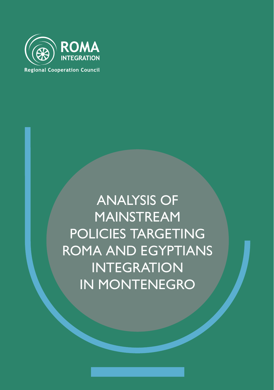

**Regional Cooperation Council** 

# ANALYSIS OF MAINSTREAM POLICIES TARGETING ROMA AND EGYPTIANS INTEGRATION IN MONTENEGRO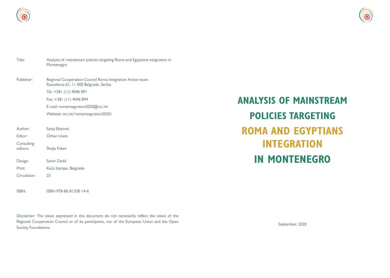

| Title:                 | Analysis of mainstream policies targeting Roma and Egyptians integration in<br>Montenegro           |  |  |  |  |  |
|------------------------|-----------------------------------------------------------------------------------------------------|--|--|--|--|--|
| Publisher:             | Regional Cooperation Council Roma Integration Action team<br>Ruzveltova 61, 11 000 Belgrade, Serbia |  |  |  |  |  |
|                        | Tel: +381 (11) 4046 891                                                                             |  |  |  |  |  |
|                        | Fax: +381 (11) 4046 894                                                                             |  |  |  |  |  |
|                        | E-mail: romaintegration2020@rcc.int                                                                 |  |  |  |  |  |
|                        | Website: rcc.int/romaintegration2020/                                                               |  |  |  |  |  |
|                        |                                                                                                     |  |  |  |  |  |
| Author:                | Sanja Elezovic                                                                                      |  |  |  |  |  |
| Editor:                | Orhan Usein                                                                                         |  |  |  |  |  |
| Consulting<br>editors: | Shejla Fidani                                                                                       |  |  |  |  |  |
| Design:                | Samir Dedić                                                                                         |  |  |  |  |  |
| Print:                 | Kuća štampe, Belgrade                                                                               |  |  |  |  |  |
| Circulation:           | 25                                                                                                  |  |  |  |  |  |
|                        |                                                                                                     |  |  |  |  |  |

ISBN: ISBN-978-86-81358-14-6

Disclaimer: The views expressed in this document do not necessarily reflect the views of the Regional Cooperation Council or of its participants, nor of the European Union and the Open Society Foundations.

# **ANALYSIS OF MAINSTREAM POLICIES TARGETING ROMA AND EGYPTIANS INTEGRATION IN MONTENEGRO**

September, 2020

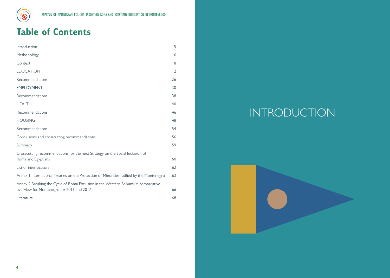

# **Table of Contents**

| Introduction                                                                                                                    | 5  |
|---------------------------------------------------------------------------------------------------------------------------------|----|
| Methodology                                                                                                                     | 6  |
| Context                                                                                                                         | 8  |
| <b>EDUCATION</b>                                                                                                                | 2  |
| Recommendations                                                                                                                 | 26 |
| <b>EMPLOYMENT</b>                                                                                                               | 30 |
| Recommendations                                                                                                                 | 38 |
| <b>HEALTH</b>                                                                                                                   | 40 |
| Recommendations                                                                                                                 | 46 |
| <b>HOUSING</b>                                                                                                                  | 48 |
| Recommendations                                                                                                                 | 54 |
| Conclusions and crosscutting recommendations                                                                                    | 56 |
| Summary                                                                                                                         | 59 |
| Crosscutting recommendations for the next Strategy on the Social Inclusion of<br>Roma and Egyptians                             | 60 |
|                                                                                                                                 |    |
| List of interlocutors                                                                                                           | 62 |
| Annex I International Treaties on the Protection of Minorities ratified by the Montenegro                                       | 63 |
| Annex 2 Breaking the Cycle of Roma Exclusion in the Western Balkans: A comparative<br>overview for Montenegro for 2011 and 2017 | 66 |
| Literature                                                                                                                      | 68 |

# INTRODUCTION

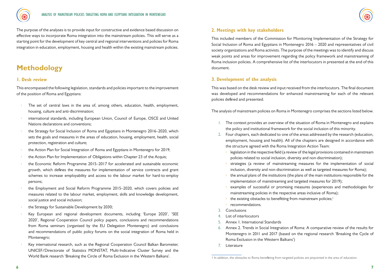

The purpose of the analyses is to provide input for constructive and evidence based discussion on effective ways to incorporate Roma integration into the mainstream policies. This will serve as a starting point for the development of key central and regional interventions and policies for Roma integration in education, employment, housing and health within the existing mainstream policies.

### **Methodology**

#### **1. Desk review**

This encompassed the following legislation, standards and policies important to the improvement of the position of Roma and Egyptians:

- The set of central laws in the area of, among others, education, health, employment, housing, culture and anti-discrimination;
- international standards, including European Union, Council of Europe, OSCE and United Nations declarations and conventions;
- the Strategy for Social Inclusion of Roma and Egyptians in Montenegro 2016–2020, which sets the goals and measures in the areas of education, housing, employment, health, social protection, registration and culture;
- the Action Plan for Social Integration of Roma and Egyptians in Montenegro for 2019;
- the Action Plan for Implementation of Obligations within Chapter 23 of the Acquis;
- the Economic Reform Programme 2015–2017 for accelerated and sustainable economic growth, which defines the measures for implementation of service contracts and grant schemes to increase employability and access to the labour market for hard-to-employ persons;
- the Employment and Social Reform Programme 2015–2020, which covers policies and measures related to the labour market, employment, skills and knowledge development, social justice and social inclusion;
- the Strategy for Sustainable Development by 2030;
- Key European and regional development documents, including 'Europe 2020', 'SEE 2020', Regional Cooperation Council policy papers, conclusions and recommendations from Roma seminars (organised by the EU Delegation Montenegro) and conclusions and recommendations of public policy forums on the social integration of Roma held in Montenegro;
- Key international research, such as the Regional Cooperation Council Balkan Barometer, UNICEF/Directorate of Statistics MONSTAT, Multi-Indicative Cluster Survey and the World Bank research 'Breaking the Circle of Roma Exclusion in the Western Balkans'.

#### **2. Meetings with key stakeholders**

This included members of the Commission for Monitoring Implementation of the Strategy for Social Inclusion of Roma and Egyptians in Montenegro 2016 – 2020 and representatives of civil society organizations and Roma activists. The purpose of the meetings was to identify and discuss weak points and areas for improvement regarding the policy framework and mainstreaming of Roma inclusion policies. A comprehensive list of the interlocutors in presented at the end of this document.

#### **3. Development of the analysis**

This was based on the desk review and input received from the interlocutors. The final document was developed and recommendations for enhanced mainstreaming for each of the relevant policies defined and presented.

The analysis of mainstream policies on Roma in Montenegro comprises the sections listed below.

- 1. The context provides an overview of the situation of Roma in Montenegro and explains the policy and institutional framework for the social inclusion of this minority.
- 2. Four chapters, each dedicated to one of the areas addressed by the research (education, employment, housing and health). All of the chapters are designed in accordance with the structure agreed with the Roma Integration Action Team:
	- $\rightarrow$  legislation in the respective field (a review of the legal provisions contained in mainstream policies related to social inclusion, diversity and non-discrimination);
	- $\rightarrow$  strategies (a review of mainstreaming measures for the implementation of social inclusion, diversity and non-discrimination as well as targeted measures for Roma);
	- $\rightarrow$  the annual plans of the institutions (the plans of the main institutions responsible for the implementation of mainstreaming and targeted measures for 2019);
	- $\rightarrow$  examples of successful or promising measures (experiences and methodologies for mainstreaming policies in the respective areas inclusive of Roma);
	- the existing obstacles to benefitting from mainstream policies;<sup>1</sup>
	- recommendations.
- 3. Conclusions
- 4. List of interlocutors
- 5. Annex 1. International Standards
- 6. Annex 2. Trends in Social Integration of Roma: A comparative review of the results for Montenegro in 2011 and 2017 (based on the regional research 'Breaking the Cycle of Roma Exclusion in the Western Balkans')
- 7. Literature

<sup>1</sup> In addition, the obstacles to Roma benefitting from targeted policies are pinpointed in the area of education.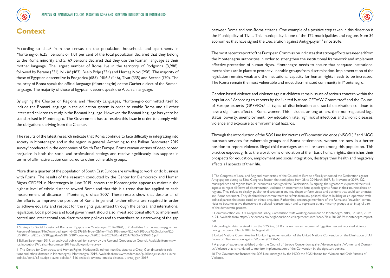



### **Context**

According to data<sup>2</sup> from the census on the population, households and apartments in Montenegro, 6,251 persons or 1.01 per cent of the total population declared that they belong to the Roma minority and 5,169 persons declared that they use the Romani language as their mother language. The largest number of Roma live in the territory of Podgorica (3,988), followed by Berane (531), Nikšić (483), Bijelo Polje (334) and Herceg Novi (258). The majority of those of Egyptian descent live in Podgorica (685), Nikšić (446), Tivat (335) and Berane (170). The majority of Roma speak the official language (Montenegrin) or the Gurbet dialect of the Romani language. The majority of those of Egyptian descent speak the Albanian language.

By signing the Charter on Regional and Minority Languages, Montenegro committed itself to include the Romani language in the education system in order to enable Roma and all other interested children to study in the Romani language. However, the Romani language has yet to be standardised in Montenegro. The Government has to resolve this issue in order to comply with the obligations deriving from the Charter.

The results of the latest research indicate that Roma continue to face difficulty in integrating into society in Montenegro and in the region in general. According to the Balkan Barometer 2019 survey<sup>3</sup> conducted in the economies of South East Europe, Roma remain victims of deep rooted prejudice in both the social and professional settings and receive significantly less support in terms of affirmative action compared to other vulnerable groups.

More than a quarter of the population of South East Europe are unwilling to work or do business with Roma. The results of the research conducted by the Center for Democracy and Human Rights CEDEM in Montenegro in June 2019<sup>4</sup> shows that Montenegrins appear to maintain the highest level of ethnic distance toward Roma and that this is a trend that has applied to each measurement of distance in Montenegro since 2007. These results show that despite all of the efforts to improve the position of Roma in general further efforts are required in order to achieve equality and respect for the rights guaranteed through the central and international legislation. Local policies and local government should also invest additional effort to implement central and international anti-discrimination policies and to contribute to a narrowing of the gap

between Roma and non-Roma citizens. One example of a positive step taken in this direction is the Municipality of Tivat. This municipality is one of the 122 municipalities and regions from 34 economies that have signed the Declaration against Antigypsyism<sup>5</sup> since 2016.

The most recent report<sup>6</sup> of the European Commission indicates that strong efforts are needed from the Montenegrin authorities in order to strengthen the institutional framework and implement effective protection of human rights. Montenegro needs to ensure that adequate institutional mechanisms are in place to protect vulnerable groups from discrimination. Implementation of the legislation remains weak and the institutional capacity for human rights needs to be increased. The Roma remain the most vulnerable and most discriminated community in Montenegro.

Gender-based violence and violence against children remain issues of serious concern within the population.<sup>7</sup> According to reports by the United Nations CEDAW Committee<sup>8</sup> and the Council of Europe experts (GREVIO),<sup>9</sup> all types of discrimination and social deprivation continue to have a significant effect on Roma women. This includes, among others, their non-regulated legal status, poverty, unemployment, low education rate, high risk of infectious and chronic diseases, violence and exposure to environmental hazards.

Through the introduction of the SOS Line for Victims of Domestic Violence (NSOSL)<sup>10</sup> and NGO outreach services for vulnerable groups and Roma settlements, women are now in a better position to report violence. Illegal child marriages are still present among this population. This practice exposes girls to the worst forms of violation of their basic human rights, diminishes their prospects for education, employment and social integration, destroys their health and negatively affects all aspects of their life.

<sup>2</sup> Strategy for Social Inclusion of Roma and Egyptians in Montenegro 2016–2020, p. 7. Available from www.mmp.gov.me/ ResourceManager/FileDownload.aspx?rid=236962&rType=2&file=The%20Strategy%20for%20Social%20Inclusion%20 of%20Roma%20and%20Egyptians%20in%20Montenegro%202016-2020%20and%20AP%20for%202016.pdf

<sup>3</sup> Balkan Barometer 2019, an analytical public opinion survey by the Regional Cooperation Council. Available from www. rcc.int/pubs/89/balkan-barometer-2019-public-opinion-survey

<sup>4</sup> The Centre for Democracy and Human Rights, Međuetnički odnosi i etnička distanca u Crnoj Gori (Interethnic relations and ethnic distance in Montenegro), Montenegro, 2019. Available from www.cedem.me/publikacije/studije-i-javnepolitike/send/69-studije-i-javne-politike/1946-analiticki-izvjestaj-etnicka-distanca-u-crnoj-gori-2019

<sup>5</sup> The Congress of Local and Regional Authorities of the Council of Europe officially endorsed the Declaration against Antigypsyism during its 32nd Congress Session that took place from 28 to 30 March 2017. By November 2019, 122 municipalities and regions from 34 economies had signed the Declaration. By signing, the signatories expressed their willingness to reject all forms of discrimination, violence or incitement to hate speech against Roma in their municipalities or regions. They refuse to display, publish or distribute in any way shape or form views and positions that could stir or incite anti-Roma sentiment. They declared their commitment to refrain from any political alliance building or co-operation with political parties that incite racial or ethnic prejudice. Rather they encourage members of the Roma and 'traveller' communities to become active themselves in political representation and to represent ethnic minority groups as an integral part of the democratic process.

<sup>6</sup> Communication on EU Enlargement Policy, Commission staff working document on Montenegro 2019, Brussels, 2019, p. 24. Available from https://ec.europa.eu/neighbourhood-enlargement/sites/near/files/20190529-montenegro-report. pdf.

<sup>7</sup> According to data received from the SOS line, 51 Roma women and women of Egyptian descent reported violence during the period March 2018 to August 2019.

<sup>8</sup> United Nations Committee for Monitoring Implementation of the United Nations Convention on the Elimination of All Forms of Discrimination against Women (CEDAW).

<sup>9</sup> A group of experts established under the Council of Europe Convention against Violence against Women and Domestic Violence that is mandated to monitor implementation of the Convention by the signatory parties.

<sup>10</sup> The Government financed the SOS Line, managed by the NGO the SOS Hotline for Women and Child Victims of Violence.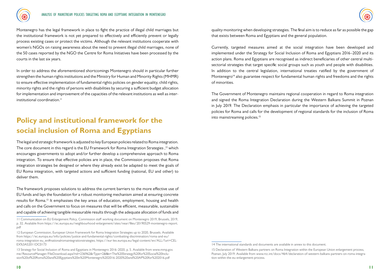

Montenegro has the legal framework in place to fight the practice of illegal child marriages but the institutional framework is not yet prepared to effectively and efficiently prevent or legally process existing cases or protect the victims. Although the relevant institutions cooperate with women's NGOs on raising awareness about the need to prevent illegal child marriages, none of the 50 cases reported by the NGO the Centre for Roma Initiatives have been processed by the courts in the last six years.

In order to address the aforementioned shortcomings Montenegro should in particular further strengthen the human rights institutions and the Ministry for Human and Minority Rights (MHMR) to ensure effective implementation of fundamental rights policies on gender equality, child rights, minority rights and the rights of persons with disabilities by securing a sufficient budget allocation for implementation and improvement of the capacities of the relevant institutions as well as interinstitutional coordination.<sup>11</sup>

## **Policy and institutional framework for the social inclusion of Roma and Egyptians**

The legal and strategic framework is adjusted to key European policies related to Roma integration. The core document in this regard is the EU Framework for Roma Integration Strategies,  $12$  which encourages governments to adopt and/or further develop a comprehensive approach to Roma integration. To ensure that effective policies are in place, the Commission proposes that Roma integration strategies be designed or where they already exist be adapted to meet the goals of EU Roma integration, with targeted actions and sufficient funding (national, EU and other) to deliver them.

The framework proposes solutions to address the current barriers to the more effective use of EU funds and lays the foundation for a robust monitoring mechanism aimed at ensuring concrete results for Roma.<sup>13</sup> It emphasises the key areas of education, employment, housing and health and calls on the Government to focus on measures that will be efficient, measurable, sustainable and capable of achieving tangible measurable results through the adequate allocation of funds and

quality monitoring when developing strategies. The final aim is to reduce as far as possible the gap that exists between Roma and Egyptians and the general population.

Currently, targeted measures aimed at the social integration have been developed and implemented under the Strategy for Social Inclusion of Roma and Egyptians 2016–2020 and its action plans. Roma and Egyptians are recognised as indirect beneficiaries of other central multisectorial strategies that target specific social groups such as youth and people with disabilities. In addition to the central legislation, international treaties ratified by the government of Montenegro<sup>14</sup> also guarantee respect for fundamental human rights and freedoms and the rights of minorities.

The Government of Montenegro maintains regional cooperation in regard to Roma integration and signed the Roma Integration Declaration during the Western Balkans Summit in Poznan in July 2019. The Declaration emphasis in particular the importance of achieving the targeted policies for Roma and calls for the development of regional standards for the inclusion of Roma into mainstreaming policies.<sup>15</sup>

<sup>11</sup> Communication on EU Enlargement Policy, Commission staff working document on Montenegro 2019, Brussels, 2019, p. 32. Available from https://ec.europa.eu/neighbourhood-enlargement/sites/near/files/20190529-montenegro-report. pdf

<sup>12</sup> European Commission, European Union Framework for Roma Integration Strategies up to 2020, Brussels. Available from https://ec.europa.eu/info/policies/justice-and-fundamental-rights/combatting-discrimination/roma-and-eu/ roma-integration-eu\_en#nationalromaintegrationstrategies; https://eur-lex.europa.eu/legal-content/en/ALL/?uri=CEL-EX%3A52011DC0173

<sup>13</sup> Strategy for Social Inclusion of Roma and Egyptians in Montenegro 2016–2020, p. 5. Available from www.mmp.gov. me/ResourceManager/FileDownload.aspx?rid=236962&rType=2&file=The%20Strategy%20for%20Social%20Inclusion%20of%20Roma%20and%20Egyptians%20in%20Montenegro%202016-2020%20and%20AP%20for%202016.pdf

<sup>14</sup> The international standards and documents are available in annex to this document.

<sup>15</sup> Declaration of Western Balkans partners on Roma Integration within the European Union enlargement process, Poznan, July 2019. Available from www.rcc.int/docs/464/declaration-of-western-balkans-partners-on-roma-integration-within-the-eu-enlargement-process.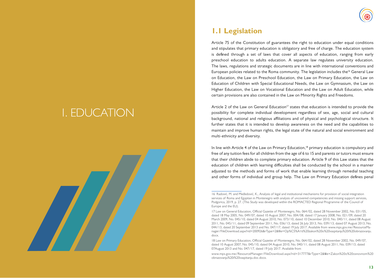# 1. EDUCATION



## **1.1 Legislation**

Article 75 of the Constitution of guarantees the right to education under equal conditions and stipulates that primary education is obligatory and free of charge. The education system is defined through a set of laws that cover all aspects of education, ranging from early preschool education to adults education. A separate law regulates university education. The laws, regulations and strategic documents are in line with international conventions and European policies related to the Roma community. The legislation includes the<sup>16</sup> General Law on Education, the Law on Preschool Education, the Law on Primary Education, the Law on Education of Children with Special Educational Needs, the Law on Gymnasium, the Law on Higher Education, the Law on Vocational Education and the Law on Adult Education, while certain provisions are also contained in the Law on Minority Rights and Freedoms.

Article 2 of the Law on General Education<sup>17</sup> states that education is intended to provide the possibility for complete individual development regardless of sex, age, social and cultural background, national and religious affiliations and of physical and psychological structure. It further states that it is intended to develop awareness on the need and the capabilities to maintain and improve human rights, the legal state of the natural and social environment and multi-ethnicity and diversity.

In line with Article 4 of the Law on Primary Education,<sup>18</sup> primary education is compulsory and free of any tuition fees for all children from the age of 6 to 15 and parents or tutors must ensure that their children abide to complete primary education. Article 9 of this Law states that the education of children with learning difficulties shall be conducted by the school in a manner adjusted to the methods and forms of work that enable learning through remedial teaching and other forms of individual and group help. The Law on Primary Education defines penal

<sup>16</sup> Radović, M. and Međedović, K., Analysis of legal and institutional mechanisms for provision of social integration services of Roma and Egyptian in Montenegro with analysis of uncovered competencies and missing support services, Podgorica, 2019, p. 27. (This Study was developed within the ROMACTED Regional Programme of the Council of Europe and the EU).

<sup>17</sup> Law on General Education, Official Gazette of Montenegro, No. 064/02, dated 28 November 2002, No. 031/05, dated 18 May 2005, No. 049/07, dated 10 August 2007, No. 004/08, dated 17 January 2008, No. 021/09, dated 20 March 2009, No. 045/10, dated 04 August 2010, No. 073/10, dated 10 December 2010, No. 040/11, dated 08 August 2011, No. 045/11, dated 09 September 2011, No. 036/13, dated 26 July 2013, No. 039/13, dated 07 August 2013, No. 044/13, dated 20 September 2013 and No. 047/17, dated 19 July 2017. Available from www.mps.gov.me/ResourceManager/FileDownload.aspx?rid=200926&rType=2&file=Op%C5%A1ti%20zakon%20o%20vaspitanju%20i%20obrazovanju. docx.

<sup>18</sup> Law on Primary Education, Official Gazette of Montenegro, No. 064/02, dated 28 November 2002, No. 049/07, dated 10 August 2007, No. 045/10, dated 04 August 2010, No. 040/11, dated 08 August 2011, No. 039/13, dated 07August 2013 and No. 047/17, dated 19 July 2017. Available from

www.mps.gov.me/ResourceManager/FileDownload.aspx?rid=317777&rType=2&file=Zakon%20o%20osnovnom%20 obrazovanju%20i%20vaspitanju.doc.docx.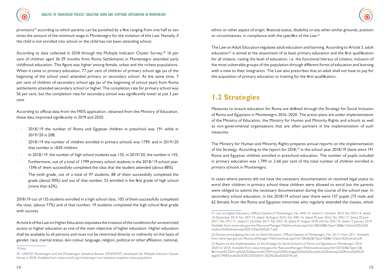

provisions<sup>19</sup> according to which parents can be punished by a fine ranging from one half to ten times the amount of the minimum wage in Montenegro for the violation of this Law. Namely, if the child is not enrolled into school or the child has not been attending school.

According to data collected in 2018 through the Multiple Indicator Cluster Survey,<sup>20</sup> 16 per cent of children aged 36-59 months from Roma Settlements in Montenegro attended early childhood education. This figure was higher among female, urban and the richest populations. When it came to primary education, 77 per cent of children of primary school age (as of the beginning of the school year) attended primary or secondary school. At the same time, 7 per cent of children of secondary school age (as of the beginning of school year) from Roma settlements attended secondary school or higher. The completion rate for primary school was 56 per cent, but the completion rate for secondary school was significantly lower at just 3 per cent.

According to official data from the MEIS application, obtained from the Ministry of Education, these data improved significantly in 2019 and 2020:

- 2018/19 the number of Roma and Egyptian children in preschool was 191 while in 2019/20 is 208;
- Ű 2018/19 the number of children enrolled in primary schools was 1799, and in 2019/20 that number is 1830 children;
- In 2018/19, the number of high school students was 135, in 2019/20, the number is 142;
- Furthermore, out of a total of 1799 primary school students in the 2018/19 school year, 1596 of them successfully completed the class that the student attended (about 88%).
- The ninth grade, out of a total of 97 students, 88 of them successfully completed the grade (about 90%) and out of that number, 55 enrolled in the first grade of high school (more than 62%).

2018/19 out of 135 students enrolled in a high school class, 105 of them successfully completed the class, (about 77%) and of that number, 19 students completed the high school final grade with success.

Article 6 of the Law on Higher Education stipulates the creation of the conditions for unrestricted access to higher education as one of the main objective of higher education. Higher education shall be available to all persons and must not be restricted directly or indirectly on the basis of gender, race, marital status, skin colour, language, religion, political or other affiliation, national,

ethnic or other aspect of origin, financial status, disability or any other similar grounds, position or circumstances, in compliance with the specifics of the Law.<sup>21</sup>

The Law on Adult Education regulates adult education and learning. According to Article 3, adult education<sup>22</sup> is aimed at the attainment of at least primary education and the first qualification for all citizens, raising the level of education, i.e. the functional literacy of citizens; inclusion of the most vulnerable groups of the population through different forms of education and learning with a view to their integration. The Law also prescribes that an adult shall not have to pay for the acquisition of primary education or training for the first qualification.

## **1.2 Strategies**

Measures to ensure education for Roma are defined through the Strategy for Social Inclusion of Roma and Egyptians in Montenegro 2016–2020. The action plans are under implementation of the Ministry of Education, the Ministry for Human and Minority Rights and schools as well as non-governmental organisations that are often partners in the implementation of such measures.

The Ministry for Human and Minority Rights prepares annual reports on the implementation of the Strategy. According to the report for 2018,23 in the school year 2018/19 there were 191 Roma and Egyptian children enrolled in preschool education. The number of pupils included in primary education was 1,799 or 2.66 per cent of the total number of children enrolled in primary schools in Montenegro.

In cases where parents did not have the necessary documentation or resolved legal status to enrol their children in primary school these children were allowed to enrol but the parents were obliged to submit the necessary documentation during the course of the school year. In secondary school education, in the 2018/19 school year there were 137 pupils (75 male and 62 female) from the Roma and Egyptian minorities who regularly attended the classes, which

<sup>19</sup> Ibid.

<sup>20</sup> UNICEF Montenegro and the Montenegrin Statistical Bureau (MONSTAT) developed the Multiple Indicator Cluster Survey in 2018. Available from www.unicef.org/montenegro/en/statistical-snapshot-roma-population.

<sup>21</sup> Law on Higher Education, Official Gazette of Montenegro, No. 044/14, dated 21 October 2014, No. 052/14, dated 16 December 2014, No. 047/15, dated 18 August 2015, No. 040/16, dated 30 June 2016, No. 042/17, dated 30 June 2017, No. 071/17, dated 31 October 2017, No. 055/18, dated 01 August 2018 and No. 003/19, dated 15 January 2019. Available from www.mps.gov.me/ResourceManager/FileDownload.aspx?rid=282638&rType=2&file=Zakon%20o%20 visokom%20obrazovanju%20-%20jul%202017.pdf.

<sup>22</sup> Decree promulgating the Law on Adult Education, Official Gazette of Montenegro, No. 20/11 from 2011. Available from www.mps.gov.me/ResourceManager/FileDownload.aspx?rid=282602&rType=2&file=Zakon%20odrasli.pdf.

<sup>23</sup> Report on the Implementation of the Strategy for Social Inclusion of Roma and Egyptians in Montenegro 2016– 2020 for 2018. Available from www.mmp.gov.me/ResourceManager/FileDownload.aspx?rid=357564&rType=2& file=Izvje%C5%A1taj%20o%20sprovo%C4%91enju%20Strategije%20za%20socijalnu%20inkluziju%20Roma%20i%20 Egip%C4%87ana%20u%20CG%202016-2020%20za%202018.pdf.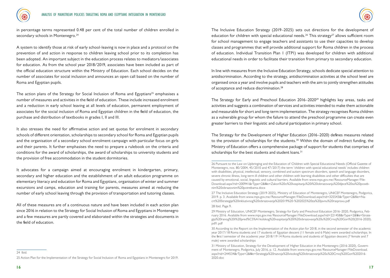



in percentage terms represented 0.48 per cent of the total number of children enrolled in secondary schools in Montenegro.<sup>24</sup>

A system to identify those at risk of early school-leaving is now in place and a protocol on the prevention of and action in response to children leaving school prior to its completion has been adopted. An important subject in the education process relates to mediators/associates for education. As from the school year 2018/2019, associates have been included as part of the official education structure within the Ministry of Education. Each school decides on the number of associates for social inclusion and announces an open call based on the number of Roma and Egyptian pupils.

The action plans of the Strategy for Social Inclusion of Roma and Egyptians<sup>25</sup> emphasises a number of measures and activities in the field of education. These include increased enrolment and a reduction in early school leaving at all levels of education, permanent employment of associates for the social inclusion of Roma and Egyptian children in the field of education, the purchase and distribution of textbooks in grades I, II and III.

It also stresses the need for affirmative action and set quotas for enrolment in secondary schools of different orientation, scholarships to secondary school for Roma and Egyptian pupils and the organisation of a secondary school enrolment campaign with particular focus on girls and their parents. It further emphasises the need to prepare a rulebook on the criteria and conditions for the award of scholarships, the award of scholarships to university students and the provision of free accommodation in the student dormitories.

It advocates for a campaign aimed at encouraging enrolment in kindergarten, primary, secondary and higher education and the establishment of an adult education programme on elementary literacy and education for Roma and Egyptians, organisation of winter and summer excursions and camps, education and training for parents, measures aimed at reducing the number of early school leaving through the provision of transportation and tutoring classes.

The Inclusive Education Strategy (2019–2025) sets out directions for the development of education for children with special educational needs.<sup>26</sup> This strategy<sup>27</sup> allows sufficient room for school management to engage teachers and assistants to use their capacities to develop classes and programmes that will provide additional support for Roma children in the process of education. Individual Transition Plan 1 (ITP1) was developed for children with additional educational needs in order to facilitate their transition from primary to secondary education.

In line with measures from the Inclusive Education Strategy, schools dedicate special attention to antidiscrimination. According to the strategy, antidiscrimination activities at the school level are organised once a year and involve pupils and teachers with the aim to jointly strengthen attitudes of acceptance and reduce discrimination.<sup>28</sup>

The Strategy for Early and Preschool Education 2016–2020<sup>29</sup> highlights key areas, tasks and activities and suggests a combination of services and activities intended to make them actionable and measurable for short and long-term implementation. The strategy recognises Roma children as a vulnerable group for whom the failure to attend the preschool programme can create even greater barriers to their linguistic and cultural participation in primary school.

The Strategy for the Development of Higher Education (2016–2020) defines measures related to the provision of scholarships for the students.<sup>30</sup> Within the domain of indirect funding, the Ministry of Education offers a comprehensive package of support for students that comprises of scholarships for the best students and student loans.<sup>31</sup>

28 Ibid. Page 9.

24 Ibid.

All of these measures are of a continuous nature and have been included in each action plan since 2016 in relation to the Strategy for Social Inclusion of Roma and Egyptians in Montenegro and a few measures are partly covered and elaborated within the strategies and documents in the field of education.

<sup>26</sup> Pursuant to the Law on Upbringing and the Education of Children with Special Educational Needs (Official Gazette of Montenegro, nos. 80/2004, 45/2010 and 47/2017) the term 'children with special educational needs' includes children with disabilities, physical, intellectual, sensory, combined and autism spectrum disorders, speech and language disorders, severe chronic illness, long-term ill children and other children with learning disabilities and other difficulties that are caused by emotional, social, linguistic and cultural barriers. Available from www.mps.gov.me/ResourceManager/File-Download.aspx?rid=200941&rType=2&file=Zakon%20o%20vaspitanju%20i%20obrazovanju%20djece%20sa%20posebnim%20obrazovnim%20potrebama.docx

<sup>27</sup> The Inclusive Education Strategy (2019-2025), Ministry of Education of Montenegro, UNICEF Montenegro, Podgorica, 2019. p. 3. Available from www.mps.gov.me/ResourceManager/FileDownload.aspx?rid=325543&rType=2&file=Nacrt%20Strategije%20inkluzivnog%20obrazovanja%202019%20-%202025%20za%20javnu%20raspravu.pdf

<sup>29</sup> Ministry of Education, UNICEF Montenegro, Strategy for Early and Preschool Education 2016–2020, Podgorica, February 2016. Available from www.mps.gov.me/ResourceManager/FileDownload.aspx?rid=221458&rType=2&file=Strategija%20ranog%20i%20pred%C5%A1kolskog%20vaspitanja%20i%20obrazovanja%20u%20Crnoj%20Gori%20(2016-2020). pdf1.pdf

<sup>30</sup> According to the Report on the Implementation of the Action plan for 2018, in the second semester of the academic year 2017/18 Roma students and 17 students of Egyptian descent (11 female and 6 Male) were awarded scholarships. In the first I semester of the academic year 2018/19 14 Roma students and students of Egyptian descent (7 female and 7 male) were awarded scholarships

<sup>31</sup> Ministry of Education, Strategy for the Development of Higher Education in the Montenegro (2016-2020), Government of Montenegro, Podgorica, July 2016, p. 12. Available from www.mps.gov.me/ResourceManager/FileDownload. aspx?rid=244534&rType=2&file=Strategija%20razvoja%20visokog%20obrazovanja%20u%20Crnoj%20Gori%202016- 2020.doc

<sup>25</sup> Action Plan for the Implementation of the Strategy for Social Inclusion of Roma and Egyptians in Montenegro for 2019.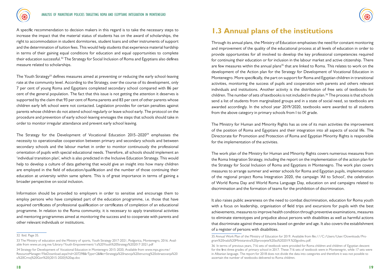A specific recommendation to decision makers in this regard is to take the necessary steps to increase the impact that the material status of students has on the award of scholarships, the right to accommodation in student dormitories, student loans and other instruments of support and the determination of tuition fees. This would help students that experience material hardship in terms of their gaining equal conditions for education and equal opportunities to complete their education successful.32 The Strategy for Social Inclusion of Roma and Egyptians also defines measure related to scholarships.

The Youth Strategy<sup>33</sup> defines measures aimed at preventing or reducing the early school-leaving rate at the community level. According to the Strategy, over the course of its development, only 7 per cent of young Roma and Egyptians completed secondary school compared with 86 per cent of the general population. The fact that this issue is not getting the attention it deserves is supported by the claim that 93 per cent of Roma parents and 83 per cent of other parents whose children early left school were not contacted. Legislation provides for certain penalties against parents whose children do not attend school regularly or leave school early. The protocol on the procedure and prevention of early school-leaving envisages the steps that schools should take in order to monitor irregular attendance and prevent early school leaving.

The Strategy for the Development of Vocational Education  $2015-2020^{34}$  emphasises the necessity to operationalize cooperation between primary and secondary schools and between secondary schools and the labour market in order to monitor continuously the professional orientation of pupils with special educational needs. Therefore, all schools should implement an 'individual transition plan', which is also predicted in the Inclusive Education Strategy. This would help to develop a culture of data gathering that would give an insight into how many children are employed in the field of education/qualification and the number of those continuing their education at university within same sphere. This is of great importance in terms of gaining a broader perspective on social inclusion.

Information should be provided to employers in order to sensitise and encourage them to employ persons who have completed part of the education programme, i.e. those that have acquired certificates of professional qualification or certificates of completion of an educational programme. In relation to the Roma community, it is necessary to apply transitional activities and mentoring programmes aimed at monitoring the success and to cooperate with parents and other relevant individuals or institutions.

## **1.3 Annual plans of the institutions**

Through its annual plans, the Ministry of Education emphasises the need for constant monitoring and improvement of the quality of the educational process at all levels of education in order to provide opportunities for all involved to develop the key professional competencies required for continuing their education or for inclusion in the labour market and active citizenship. There are few measures within the annual plans<sup>35</sup> that are linked to Roma. This relates to work on the development of the Action plan for the Strategy for Development of Vocational Education in Montenegro. More specifically, the part on support for Roma and Egyptian children in transitional activities, monitoring the success of pupils and cooperation with parents and others relevant individuals and institutions. Another activity is the distribution of free sets of textbooks for children. The number of sets of textbooks is not included in the plan.<sup>36</sup> The process is that schools send a list of students from marginalized groups and in a state of social need, so textbooks are awarded accordingly. In the school year 2019/2020, textbooks were awarded to all students from the above category in primary schools from I to IX grade.

The Ministry for Human and Minority Rights has as one of its main activities the improvement of the position of Roma and Egyptians and their integration into all aspects of social life. The Directorate for Promotion and Protection of Roma and Egyptian Minority Rights is responsible for the implementation of the activities.

The work plan of the Ministry for Human and Minority Rights covers numerous measures from the Roma Integration Strategy, including the report on the implementation of the action plan for the Strategy for Social Inclusion of Roma and Egyptians in Montenegro. The work plan covers measures to arrange summer and winter schools for Roma and Egyptian pupils, implementation of the regional project Roma Integration 2020, the campaign 'All to School', the celebration of World Roma Day and World Roma Language Day, education on and campaigns related to discrimination and the formation of teams for the prohibition of discrimination.

It also raises public awareness on the need to combat discrimination, education for Roma youth with a focus on leadership, organisation of field trips and excursions for pupils with the best achievements, measures to improve health condition through preventive examinations, measures to eliminate stereotypes and prejudice about persons with disabilities as well as harmful actions that discriminate against these persons based on gender and age. It also covers the establishment of a register of persons with disabilities.

<sup>32</sup> Ibid. Page 35.

<sup>33</sup> The Ministry of education and the Ministry of sports, Youth Strategy 2017-2021, Podgorica, Montenegro, 2016. Available from www.un.org.me/Library/Youth-Empowerment/1a%20Youth%20Strategy%202017-2021.pdf

<sup>34</sup> Strategy for Development of Vocational Education in Montenegro 2015-2020, Available from www.mps.gov.me/ ResourceManager/FileDownload.aspx?rid=207298&rType=2&file=Strategija%20razvoja%20strucnog%20obrazovanja%20 u%20Crnoj%20Gori%20(2015-2020)%20ap.doc

<sup>35</sup> Annual Work Plan of the Ministry of Education for 2019. Available from file:///C:/Users/User/Downloads/Program%20rada%20Ministarstva%20prosvjete%20za%202019.%20godinu.pdf.

<sup>36</sup> In terms of previous years, 716 sets of textbook were provided for Roma children and children of Egyptian descent for the first three grades of primary school in 2017. These 716 sets of textbook were in Montenegrin, while 17 sets were in Albanian language. The report for 2018 does not divide the data into categories and therefore it was not possible to ascertain the number of textbooks delivered to Roma children.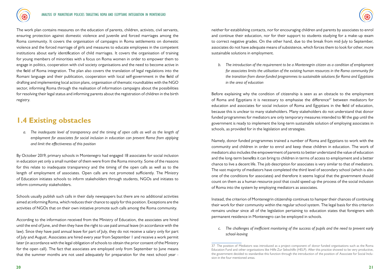

The work plan contains measures on the education of parents, children, activists, civil servants, ensuring protection against domestic violence and juvenile and forced marriages among the Roma community. It covers the organisation of campaigns in Roma settlements on domestic violence and the forced marriage of girls and measures to educate employees in the competent institutions about early identification of child marriages. It covers the organisation of training for young members of minorities with a focus on Roma women in order to empower them to engage in politics, cooperation with civil society organisations and the need to become active in the field of Roma integration. The plan also covers the translation of legal regulations into the Romani language and their publication, cooperation with local self-government in the field of drafting and implementing local action plans, organisation of thematic roundtables with the NGO sector, informing Roma through the realisation of information campaigns about the possibilities for resolving their legal status and informing parents about the registration of children in the birth registry.

### **1.4 Existing obstacles**

*a. The inadequate level of transparency and the timing of open calls as well as the length of employment for associates for social inclusion in education can prevent Roma from applying and limit the effectiveness of this position*

By October 2019, primary schools in Montenegro had engaged 18 associates for social inclusion in education yet only a small number of them were from the Roma minority. Some of the reasons for this relate to inadequate transparency and the timing of the open calls as well as to the length of employment of associates. Open calls are not promoted sufficiently. The Ministry of Education initiates schools to inform stakeholders through students, NGOs and initiates to inform community stakeholders.

Schools usually publish such calls in their daily newspapers but there are no additional activities aimed at informing Roma, which reduces their chance to apply for this position. Exceptions are the activities of NGOs that on their own initiative promote such calls among the Roma community.

According to the information received from the Ministry of Education, the associates are hired until the end of June, and then they have the right to use paid annual leave (in accordance with the law). Since they have paid annual leave for part of July, they do not receive a salary only for part of July and August. Associates are hired every year from September 1 and receive a work permit later (in accordance with the legal obligation of schools to obtain the prior consent of the Ministry for the open call). The fact that associates are employed only from September to June means that the summer months are not used adequately for preparation for the next school year -

neither for establishing contacts, nor for encouraging children and parents by associates to enrol and continue their education, nor for their support to students studying for a make-up exam to correct negative grades. On the other hand, due to the break from mid-July to September, associates do not have adequate means of subsistence, which forces them to look for other, more sustainable solutions in employment.

*b. The introduction of the requirement to be a Montenegrin citizen as a condition of employment for associates limits the utilisation of the existing human resources in the Roma community for the transition from donor-funded programmes to sustainable solutions for Roma and Egyptians in the area of education*

Before explaining why the condition of citizenship is seen as an obstacle to the employment of Roma and Egyptians it is necessary to emphasise the difference<sup>37</sup> between mediators for education and associates for social inclusion of Roma and Egyptians in the field of education, because this is unclear to many stakeholders. Many stakeholders do not understand that donor funded programmes for mediators are only temporary measures intended to fill the gap until the government is ready to implement the long-term sustainable solution of employing associates in schools, as provided for in the legislation and strategies.

Namely, donor funded programmes trained a number of Roma and Egyptians to work with the community and children in order to enrol and keep these children in education. The work of mediators also includes the empowerment of parents to better understand the value of education and the long-term benefits it can bring to children in terms of access to employment and a better chance to live a decent life. The job description for associates is very similar to that of mediators. The vast majority of mediators have completed the third level of secondary school (which is also one of the conditions for associates) and therefore it seems logical that the government should count on them as a human resource pool that could speed up the process of the social inclusion of Roma into the system by employing mediators as associates.

Instead, the criterion of Montenegrin citizenship continues to hamper their chances of continuing their work for their community within the regular school system. The legal basis for this criterion remains unclear since all of the legislation pertaining to education states that foreigners with permanent residence in Montenegro can be employed in schools.

*c. The challenges of inefficient monitoring of the success of pupils and the need to prevent early school-leaving*

<sup>37</sup> The position of Mediators was introduced as a project component of donor funded organisations such as the Roma Education Fund and other organisations like Hilfe Zur Sebschilfe (HELP). After this practice showed to be very productive, the government decided to standardise this function through the introduction of the position of Associate for Social Inclusion in the four mentioned areas.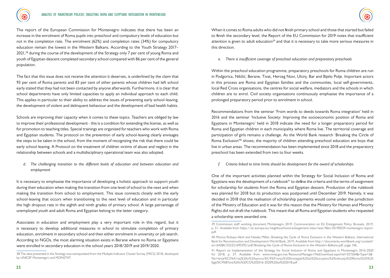

The report of the European Commission for Montenegro indicates that there has been an increase in the enrolment of Roma pupils into preschool and compulsory levels of education but not in the completion rate. The enrolment (62%) and completion rates (34%) for compulsory education remain the lowest in the Western Balkans. According to the Youth Strategy 2017–  $2021<sup>38</sup>$  during the course of the development of the Strategy only 7 per cent of young Roma and youth of Egyptian descent completed secondary school compared with 86 per cent of the general population.

The fact that this issue does not receive the attention it deserves, is underlined by the claim that 93 per cent of Roma parents and 83 per cent of other parents whose children had left school early stated that they had not been contacted by anyone afterwards. Furthermore, it is clear that school departments have only limited capacities to apply an individual approach to each child. This applies in particular to their ability to address the issues of preventing early school-leaving, the development of violent and delinquent behaviour and the development of bad health habits.

Schools are improving their capacity when it comes to these topics. Teachers are obliged by law to improve their professional development - this is a condition for extending the license, as well as for promotion to teaching titles. Special trainings are organized for teachers who work with Roma and Egyptian students. The protocol on the prevention of early school-leaving clearly envisages the steps to be taken in the school, from the moment of recognizing the risk that there could be early school-leaving. A Protocol on the treatment of children victims of abuse and neglect in the relationship between schools and a multidisciplinary operational team was also adopted.

*d. The challenging transition to the different levels of education and between education and employment* 

It is necessary to emphasise the importance of developing a holistic approach to support youth during their education when making the transition from one level of school to the next and when making the transition from school to employment. This issue connects closely with the early school-leaving that occurs when transitioning to the next level of education and in particular the high dropout rate in the eighth and ninth grades of primary school. A large percentage of unemployed youth and adult Roma and Egyptian belong to the latter category.

Associates in education and employment play a very important role in this regard, but it is necessary to develop additional measures in school to stimulate completion of primary education, enrolment in secondary school and then either enrolment in university or job search. According to NGOs, the most alarming situation exists in Berane where no Roma or Egyptians were enrolled in secondary education in the school years 2018/2019 and 2019/2020.

When it comes to Roma adults who did not finish primary school and those that started but failed to finish the secondary level, the Report of the EU Commission for 2019 notes that insufficient attention is given to adult education<sup>39</sup> and that it is necessary to take more serious measures in this direction.

*e. There is insufficient coverage of preschool education and preparatory preschools*

Within the preschool education programme, preparatory preschools for Roma children are run in Podgorica, Nikšić, Berane, Tivat, Herceg Novi, Ulcinj, Bar and Bijelo Polje. Important actors in this process are Roma and Egyptian families and the communites, local self-governments, local Red Cross organisations, the centres for social welfare, mediators and the schools in which children are to enrol. Civil society organisations continuously emphasise the importance of a prolonged preparatory period prior to enrolment in school.

Recommendations from the seminar 'From words to deeds towards Roma integration' held in 2016 and the seminar 'Inclusive Society: Improving the socioeconomic position of Roma and Egyptians in Montenegro' held in 2018 indicate the need for a longer preparatory period for Roma and Egyptian children in each municipality where Roma live. The territorial coverage and participation of girls remains a challenge. As the World Bank research 'Breaking the Circle of Roma Exclusion<sup>40</sup> shows, the majority of children attending preschool education are boys that live in urban areas. The recommendation has been implemented since 2018 and the preparatory preschool has been extended from two to four weeks.

*f. Criteria linked to time limits should be development for the award of scholarships*

One of the important activities planned within the Strategy for Social Inclusion of Roma and Egyptians was the development of a rulebook<sup>41</sup> to define the criteria and the terms of assignment for scholarship for students from the Roma and Egyptian descent. Production of the rulebook was planned for 2018 but its production was postponed until December 2019. Namely, it was decided in 2018 that the realisation of scholarship payments would come under the jurisdiction of the Ministry of Education and it was for this reason that the Ministry for Human and Minority Rights did not draft the rulebook. This meant that all Roma and Egyptian students who requested a scholarship were awarded one.

<sup>38</sup> The data presented in the Strategy was extrapolated from the Multiple Indicator Cluster Survey (MICS) 2018, developed by UNICEF Montenegro and MONSTAT.

<sup>39</sup> Commission staff working document Montenegro 2019, Communication on EU Enlargement Policy, Brussels, 2019, p. 31. Available from https://ec.europa.eu/neighbourhood-enlargement/sites/near/files/20190529-montenegro-report. pdf.

<sup>40</sup> Monica Robayo-Abril and Natalia Millán, Breaking the Cycle of Roma Exclusion in the Western Balkans, International Bank for Reconstruction and Development/World Bank, 2019. Available from http://documents.worldbank.org/curated/ en/642861552321695392/pdf/Breaking-the-Cycle-of-Roma-Exclusion-in-the-Western-Balkans.pdf, page 106.

<sup>41</sup> Report on Implementation of the Strategy for Social Inclusion of Roma and Egyptians in Montenegro 2016-2020 for 2018, p. 37. Available from www.mmp.gov.me/ResourceManager/FileDownload.aspx?rid=357564&rType=2& file=Izvje%C5%A1taj%20o%20sprovo%C4%91enju%20Strategije%20za%20socijalnu%20inkluziju%20Roma%20i%20 Egip%C4%87ana%20u%20CG%202016-2020%20za%202018.pdf .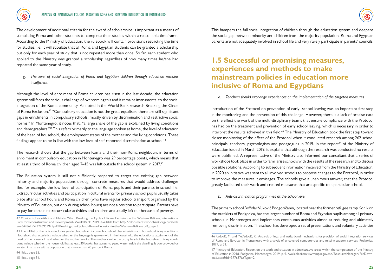

The development of additional criteria for the award of scholarships is important as a means of stimulating Roma and other students to complete their studies within a reasonable timeframe. According to the Ministry of Education, the rulebook will contain provisions restricting the time for studies, i.e. it will stipulate that all Roma and Egyptian students can be granted a scholarship but only for each year of study that is not repeated more than once. So far, each student who applied to the Ministry was granted a scholarship regardless of how many times he/she had repeated the same year of study.

*g. The level of social integration of Roma and Egyptian children through education remains insufficient*

Although the level of enrolment of Roma children has risen in the last decade, the education system still faces the serious challenge of overcoming this and it remains instrumental to the social integration of the Roma community. As noted in the World Bank research Breaking the Circle of Roma Exclusion,<sup>42</sup> "Compulsory education is not the great equaliser; there are still significant gaps in enrolments in compulsory schools, mostly driven by discrimination and restrictive social norms." In Montenegro, it notes that, "a large share of the gap is explained by living conditions and demographics."43 This refers primarily to the language spoken at home, the level of education of the head of household, the employment status of the mother and the living conditions. These findings appear to be in line with the low level of self-reported discrimination at school.<sup>44</sup>

The research shows that the gap between Roma and their non-Roma neighbours in terms of enrolment in compulsory education in Montenegro was 29 percentage points, which means that at least a third of Roma children aged  $7-15$  was left outside the school system in 2017.<sup>45</sup>

The Education system is still not sufficiently prepared to target the existing gap between minority and majority populations through concrete measures that would address challenges like, for example, the low level of participation of Roma pupils and their parents in school life. Extracurricular activities and participation in cultural events for primary school pupils usually takes place after school hours and Roma children (who have regular school transport organised by the Ministry of Education, but only during school hours) are not a position to participate. Parents have to pay for certain extracurricular activities and children are usually left out because of poverty.

44 Ibid., page 35.

45 Ibid., page 34.

### **1.5 Successful or promising measures, experiences and methods to make mainstream policies in education more inclusive of Roma and Egyptians**

*a. Teachers should exchange experiences on the implementation of the targeted measures*

Introduction of the Protocol on prevention of early -school leaving was an important first step in the monitoring and the prevention of this challenge. However, there is a lack of precise data on the effect the work of the multi-disciplinary teams that ensure compliance with the Protocol has had on the treatment and prevention of early school leaving, which is necessary in order to interpret the results achieved in this field.<sup>46</sup> The Ministry of Education took the first step toward closer monitoring of the effect of the Protocol when it conducted research among 262 school principals, teachers, psychologists and pedagogues in 2019. In the report<sup>47</sup> of the Ministry of Education issued in March 2019, it explains that although the research was conducted no results were published. A representative of the Ministry also informed our consultant that a series of workshops took place in order to familiarise schools with the results of the research and to discuss possible solutions. According to subsequent information received from the Ministry of Education, in 2020 an initiative was sent to all involved schools to propose changes to the Protocol, in order to improve the measures it envisages. The schools gave a unanimous answer, that the Protocol greatly facilitated their work and created measures that are specific to a particular school.

*b. Anti-discrimination programmes at the school level*

The primary school Božidar Vuković Podgoričanin, located near the former refugee camp Konik on the outskirts of Podgorica, has the largest number of Roma and Egyptian pupils among all primary schools in Montenegro and implements continuous activities aimed at reducing and ultimately removing discrimination. The school has developed a set of presentations and voluntary activities

<sup>42</sup> Monica Robayo-Abril and Natalia Millán, Breaking the Cycle of Roma Exclusion in the Western Balkans, International Bank for Reconstruction and Development/World Bank, 2019. Available from http://documents.worldbank.org/curated/ en/642861552321695392/pdf/Breaking-the-Cycle-of-Roma-Exclusion-in-the-Western-Balkans.pdf, page 3.

<sup>43</sup> The full list of the factors includes gender, household income, household characteristics and household living conditions. Household characteristics include whether the language is spoken within the household, the educational attainment of the head of the household and whether the mother works. The mother can be the proxy head of the household. Living conditions include whether the household has at least 30 books, has access to piped water inside the dwelling, is overcrowded or located in an area with a population that is more than 40 per cent Roma.

<sup>46</sup> Radović, M. and Međedović, K., Analysis of legal and institutional mechanisms for provision of social integration services of Roma and Egyptian in Montenegro with analysis of uncovered competencies and missing support services, Podgorica, 2019, p. 31.

<sup>47</sup> Ministry of Education, Report on the work and situation in administrative areas within the competence of the Ministry of Education in 2018, Podgorica, Montenegro, 2019, p. 9. Available from www.mpin.gov.me/ResourceManager/FileDownload.aspx?rId=377637&rType=2.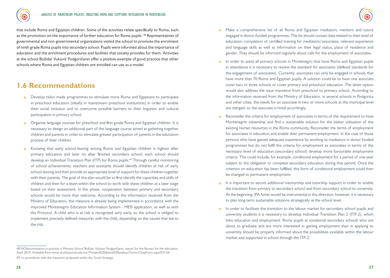that include Roma and Egyptian children. Some of the activities relate specifically to Roma, such as the promotion on the importance of further education for Roma pupils. <sup>48</sup> Representatives of governmental and non-governmental organisations visited the school to promote the enrolment of ninth grade Roma pupils into secondary school. Pupils were informed about the importance of education and the enrolment procedures and facilities that society provides for them. Activities at the school Božidar Vuković Podgoričanin offer a positive example of good practice that other schools where Roma and Egyptian children are enrolled can use as a model.

### **1.6 Recommendations**

- Develop tailor-made programmes to stimulate more Roma and Egyptians to participate in preschool education (ideally in mainstream preschool institutions) in order to enable their social inclusion and to overcome possible barriers to their linguistic and cultural participation in primary school.
- $\cdot$  Organise language courses for preschool and first grade Roma and Egyptian children. It is necessary to design an additional part of the language course aimed at gathering together children and parents in order to stimulate greater participation of parents in the education process of their children.
- Knowing that early school-leaving among Roma and Egyptian children is highest after primary education and later on after finished secondary school; each school should develop an Individual Transition Plan (ITP) for Roma pupils.<sup>49</sup> Through careful monitoring of school achievements, teachers and assistants should identify children at risk of early school-leaving and then provide an appropriate level of support for these children together with their parents. The goal of the plan would be to first identify the capacities and skills of children and then for a team within the school to work with these children at a later stage based on their assessment. In this phase, cooperation between primary and secondary schools would be more than welcome. According to the information received from the Ministry of Education, this measure is already being implemented in accordance with the improved Montenegrin Education Information System - MEIS application, as well as with the Protocol. A child who is at risk is recognized very early, so the school is obliged to implement precisely defined measures with the child, depending on the causes that led to the risk.
- 48 NOdiscrimination in practice in Primary School Božidar Vuković Podgoričanin, report for the Bureau for the education, April 2019. Available from www.skolskiportal.edu.me/Primjeri%20dobre%20prakse/Forms/DispForm.aspx?ID=34. 49 In accordance with the measures proposed within the Youth Strategy.
- , Make a comprehensive list of all Roma and Egyptian mediators, mentors and tutors engaged in donor-funded programmes. The list should contain data related to their level of education, completion of certified training for mediators/associates, relevant experience and language skills as well as information on their legal status, place of residence and gender. They should be informed regularly about calls for the employment of associates.
- $\frac{1}{20}$  In order to assist all primary schools in Montenegro that have Roma and Egyptian pupils in attendance it is necessary to review the standard for associates (defined standards for the engagement of associates). Currently, associates can only be engaged in schools that have more than 70 Roma and Egyptian pupils. A solution could be to have one associate cover two or three schools or cover primary and preschool education. The latter option would also address the issue transition from preschool to primary school. According to the information received from the Ministry of Education, in several schools in Podgorica and other cities, the needs for an associate in two or more schools at the municipal level are merged, so the associate is hired accordingly.
- Reconsider the criteria for employment of associates in terms of the requirement to have Montenegrin citizenship and find a sustainable solution for the better utilisation of the existing human resources in the Roma community. Reconsider the terms of employment for associates in education and enable their permanent employment. In the case of those persons who have gained adequate experience by working as mediators in donor funded programmes but do not fulfil the criteria for employment as associates in terms of the necessary level of education (secondary school) develop more favourable employment criteria. This could include, for example, conditional employment for a period of one year subject to the obligation to complete secondary education during that period. Once the criterion on education has been fulfilled, this form of conditional employment could then be changed to permanent employment.
- $\frac{1}{2}$  It is important to secure additional mentorship and tutorship support in order to enable the transition from primary to secondary school and from secondary school to university. At the beginning, IPA funds would be instrumental in this direction; however, it is necessary to plan long-term sustainable solutions strategically at the school level.
- $\frac{1}{2}$  In order to facilitate the transition to the labour market for secondary school pupils and university students it is necessary to develop Individual Transition Plan 2 (ITP-2), which links education and employment. Roma pupils at vocational secondary schools who are about to graduate and are more interested in gaining employment than in applying to university should be properly informed about the possibilities available within the labour market and supported in school through the ITP-2.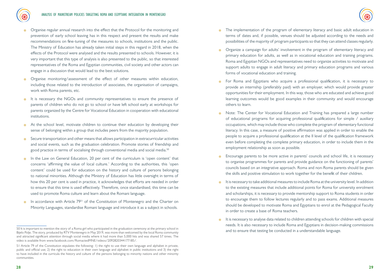- , Organise regular annual research into the effect that the Protocol for the monitoring and prevention of early school leaving has in this respect and present the results and make recommendations on fine-tuning of the measures to schools, institutions and the public. The Ministry of Education has already taken initial steps in this regard in 2018, when the effects of the Protocol were analysed and the results presented to schools. However, it is very important that this type of analysis is also presented to the public, so that interested representatives of the Roma and Egyptian communities, civil society and other actors can engage in a discussion that would lead to the best solutions.
- , Organise monitoring/assessment of the effect of other measures within education, including those related to the introduction of associates, the organisation of campaigns, work with Roma parents, etc.
- It is necessary the NGOs and community representatives to ensure the presence of parents of children who do not go to school or have left school early at workshops for parents organized by the Centre for Vocational Education in cooperation with educational institutions.
- $\frac{1}{2}$ . At the school level, motivate children to continue their education by developing their sense of belonging within a group that includes peers from the majority population.
- , Secure transportation and other means that allows participation in extracurricular activities and social events, such as the graduation celebration. Promote stories of friendship and good practice in terms of socialising through conventional media and social media.<sup>50</sup>
- , In the Law on General Education, 20 per cent of the curriculum is 'open content' that concerns 'affirming the value of local culture.' According to the authorities, this 'open content' could be used for education on the history and culture of persons belonging to national minorities. Although the Ministry of Education has little oversight in terms of how this 20 per cent is used in practice, it acknowledges that efforts are needed in order to ensure that this time is used effectively. Therefore, once standardised, this time can be used to promote Roma culture and learn about the Romani language.
- In accordance with Article 79<sup>51</sup> of the Constitution of Montenegro and the Charter on Minority Languages, standardise Romani language and introduce it as a subject in schools.
- The implementation of the program of elementary literacy and basic adult education in terms of dates and, if possible, venues should be adjusted according to the needs and possibilities of the majority of program participants so that they can attend classes regularly.
- , Organize a campaign for adults' involvement in the program of elementary literacy and primary education for adults, as well as in vocational education and training programs. Roma and Egyptian NGOs and representatives need to organize activities to motivate and support adults to engage in adult literacy and primary education programs and various forms of vocational education and training.
- , For Roma and Egyptians who acquire a professional qualification, it is necessary to provide an internship (preferably paid) with an employer, which would provide greater opportunities for their employment. In this way, those who are educated and achieve good learning outcomes would be good examples in their community and would encourage others to learn.
- , Note: The Center for Vocational Education and Training has prepared a large number of educational programs for acquiring professional qualifications for simple / auxiliary occupations, which may include those who complete the program of elementary functional literacy. In this case, a measure of positive affirmation was applied in order to enable the people to acquire a professional qualification at the II level of the qualification framework even before completing the complete primary education, in order to include them in the employment relationship as soon as possible.
- , Encourage parents to be more active in parents' councils and school life, it is necessary to organise programmes for parents and provide guidance on the functioning of parents' councils based on an integrative approach. Roma and non-Roma parents should be given the skills and positive stimulation to work together for the benefit of their children.
- It is necessary to take additional measures to include Roma at the university level. In addition to the existing measures that include additional points for Roma for university enrolment and scholarships, it is necessary to provide mentorship support to Roma students in order to encourage them to follow lectures regularly and to pass exams. Additional measures should be developed to motivate Roma and Egyptians to enrol at the Pedagogical Faculty in order to create a base of Roma teachers.
- It is necessary to analyse data related to children attending schools for children with special needs. It is also necessary to include Roma and Egyptians in decision-making commissions and to ensure that testing be conducted in a understandable language.

<sup>50</sup> It is important to mention the story of a Roma girl who participated in the graduation ceremony at the primary school in Bijelo Polje. The story, produced by RTV Montenegro in May 2019, was more than welcomed by the local Roma community and attracted significant attention through social media where it had more than 5,000 hits and was shared 57 times. The video is available from www.facebook.com/RomactedMNE/videos/2092820344177185/.

<sup>51</sup> Article 79 of the Constitution stipulates the following: 1) the right to use their own language and alphabet in private, public and official use; 2) the right to education in their own language and alphabet in public institutions and 3) the right to have included in the curricula the history and culture of the persons belonging to minority nations and other minority communities.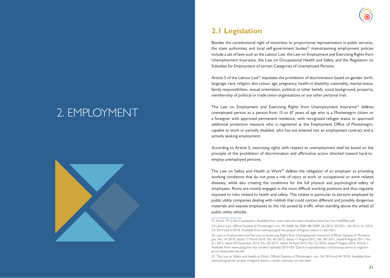# 2. EMPLOYMENT



## **2.1 Legislation**

Besides the constitutional right of minorities to proportional representation in public services, the state authorities and local self-government bodies<sup>52</sup> mainstreaming employment policies include a set of laws such as the Labour Law, the Law on Employment and Exercising Rights from Unemployment Insurance, the Law on Occupational Health and Safety and the Regulation on Subsidies for Employment of certain Categories of Unemployed Persons.

Article 5 of the Labour Law<sup>53</sup> stipulates the prohibition of discrimination based on gender, birth, language, race, religion, skin colour, age, pregnancy, health or disability, nationality, marital status, family responsibilities, sexual orientation, political or other beliefs, social background, property, membership of political or trade union organisations or any other personal trait.

The Law on Employment and Exercising Rights from Unemployment Insurance<sup>54</sup> defines unemployed person as a person from 15 to 67 years of age who is a Montenegrin citizen or a foreigner with approved permanent residence, with recognised refugee status or approved additional protection measure who is registered at the Employment Office of Montenegro, capable to work or partially disabled, who has not entered into an employment contract and is actively seeking employment.

According to Article 5, exercising rights with respect to unemployment shall be based on the principle of the prohibition of discrimination and affirmative action directed toward hard-toemploy unemployed persons.

The Law on Safety and Health at Work<sup>55</sup> defines the obligation of an employer as providing working conditions that do not pose a risk of injury at work or occupational or work related diseases, while also creating the conditions for the full physical and psychological safety of employees. Roma are mostly engaged in the most difficult working positions and thus regularly exposed to risks related to health and safety. This relates in particular to persons employed by public utility companies dealing with rubbish that could contain different and possibly dangerous materials and expose employees to the risk posed by traffic when standing above the wheel of public utility vehicles.

<sup>52</sup> Article 79 of the Constitution. Available from www.wipo.int/edocs/lexdocs/laws/en/me/me004en.pdf. 53 Labour Law, Official Gazette of Montenegro, nos. 49/2008, 26/2009, 88/2009, 26/2010, 59/2011, 66/2012, 31/2014, 53/2014 and 4/2018. Available from www.paragraf.me/propisi-crnegore/zakon-o-radu.html.

<sup>54</sup> Law on Employment and the Law on Exercising Rights from Unemployment Insurance (Official Gazette of Montenegro, No. 14/2010, dated 17 March 2010, No. 45/2012, dated 17 August 2012, No. 40/2011, dated 8 August 2011, No. 61/2013, dated 30 December 2013, No. 20/2015, dated 24 April 2015, No. 52/2016, dated 9 August 2016. Article 1. Available from www.zzzcg.me/wp-content/uploads/2015/05/Zakon-o-zaposljavanju-i-ostvarivanju-prava-iz-osiguranja-od-nezaposlenosti.pdf.

<sup>55</sup> The Law on Safety and Health at Work, Official Gazette of Montenegro, nos. 34/2014 and 44/2018. Available from www.paragraf.me/propisi-crnegore/zakon-o-zastiti-i-zdravlju-na-radu.html.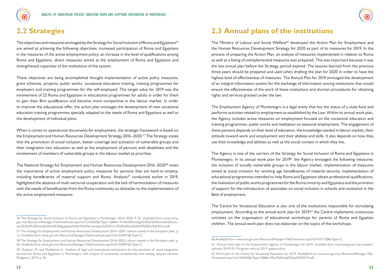



### **2.2 Strategies**

The objectives and measures envisaged by the Strategy for Social Inclusion of Roma and Egyptians<sup>56</sup> are aimed at achieving the following objectives: increased participation of Roma and Egyptians in the measures of the active employment policy, an increase in the level of qualifications among Roma and Egyptians, direct measures aimed at the employment of Roma and Egyptians and strengthened capacities of the institutions of the system.

These objectives are being accomplished thought implementation of active policy measures, grant schemes, projects, public works, vocational education training, training programmes for employers and training programmes for the self-employed. The target value for 2019 was the involvement of 25 Roma and Egyptians in educational programmes for adults in order for them to gain their first qualification and become more competitive in the labour market. In order to improve the educational offer, the action plan envisages the development of new vocational education training programmes specially adapted to the needs of Roma and Egyptians as well as the development of individual plans.

When it comes to operational documents for employment, the strategic framework is based on the Employment and Human Resources Development Strategy 2016–2020.57 The Strategy states that the promotion of social inclusion, better coverage and activation of vulnerable groups and their integration into education as well as the employment of persons with disabilities and the involvement of members of vulnerable groups in the labour market as priorities.

The National Strategy for Employment and Human Resources Development 2016–202058 notes the importance of active employment policy measures for persons that are hard-to-employ, including beneficiaries of material support and Roma. Analysis<sup>59</sup> conducted earlier in 2019, highlighted the absence of multi-sectorial cooperation and the lack of harmonisation of measures with the needs of beneficiaries from the Roma community as obstacles to the implementation of the active employment measures.

### **2.3 Annual plans of the institutions**

The Ministry of Labour and Social Welfare<sup>60</sup> developed the Action Plan for Employment and the Human Resources Development Strategy for 2020 as part of its measures for 2019. In the process of preparing the Action Plan, an analysis of measures implemented in relation to Roma as well as a listing of unimplemented measures was prepared. This was important because it was the last annual plan before the Strategy period expired. The lessons learned from the previous three years should be prepared and used when drafting the plan for 2020 in order to have the highest level of effectiveness of measures. The Annual Plan for 2019 envisaged the development of an integral information system for the exchange of information among institutions that would ensure the effectiveness of the work of these institutions and shorten procedures for obtaining rights and services granted under the law.

The Employment Agency of Montenegro is a legal entity that has the status of a state fund and performs activities related to employment as established by the Law. Within its annual work plan, the Agency includes active measures on employment focused on the vocational education and training programmes, public works and mediation on seasonal employment. The engagement of these persons depends on their level of education, the knowledge needed in labour market, their attitude toward work and employment and their abilities and skills. It also depends on how they use their knowledge and abilities as well as the social context in which they live.

The Agency is one of the carriers of the Strategy for Social Inclusion of Roma and Egyptians in Montenegro. In its annual work plan for 2019<sup>61</sup> the Agency envisaged the following measures: the inclusion of socially vulnerable groups in the labour market, implementation of measures aimed at social inclusion for working age beneficiaries of material security, implementation of educational programmes intended to help Roma and Egyptians obtain professional qualifications, the realisation of public works programmes for the Roma minority and Egyptians and the provision of support for the introduction of associates on social inclusion in schools and assistance in the field of employment.

The Centre for Vocational Education is also one of the institutions responsible for stimulating employment. According to the annual work plan for  $2019,62$  the Centre implements continuous activities on the organisation of educational workshops for parents of Roma and Egyptian children. The annual work plan does not elaborate on the topics of the workshops.

<sup>56</sup> The Strategy for Social Inclusion of Roma and Egyptians in Montenegro 2016–2020. P. 52. Available from www.mmp. gov.me/ResourceManager/FileDownload.aspx?rid=236962&rType=2&file=The%20Strategy%20for%20Social%20Inclusion%20of%20Roma%20and%20Egyptians%20in%20Montenegro%202016-2020%20and%20AP%20for%202016.pdf.

<sup>57</sup> The Strategy for Employment and Human Resources Development 2016–2020, Labour market in the European path, p. 12. Available from www.gov.me/ResourceManager/FileDownload.aspx?rId=224091&rType=2.

<sup>58</sup> The Strategy for Employment and Human Resources Development 2016-2020, Labour market in the European path, p. 42. Available from www.gov.me/ResourceManager/FileDownload.aspx?rId=224091&rType=2.

<sup>59</sup> Radović, M. and Međedović K., Analysis of legal and institutional mechanisms for the provision of social integration services for Roma and Egyptians in Montenegro with analysis of uncovered competencies and missing support services, Podgorica, 2019, p. 44.

<sup>60</sup> Available from www.mrs.gov.me/ResourceManager/FileDownload.aspx?rId=351720&rType=2.

<sup>61</sup> Annual work plan of the Employment Agency of Montenegro for 2019. Available from www.zzzcg.me/wp-content/ uploads/2019/01/Program-rada-za-2019.-godinu.docx.

<sup>62</sup> Work plan of the Centre for Vocational Education for 2019. Available from www.cso.gov.me/ResourceManager/File-Download.aspx?rid=364635&rType=2&file=Plan%20rada%20za%202019.pdf.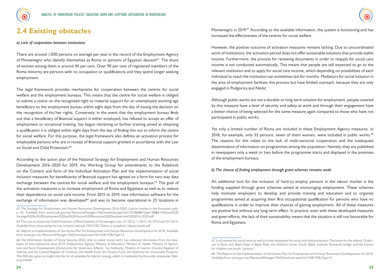



#### **2.4 Existing obstacles**

#### *a) Lack of cooperation between institutions*

There are around 1,000 persons on average per year in the record of the Employment Agency of Montenegro who identify themselves as Roma or persons of Egyptian descent<sup>63</sup>. The share of women among them is around 40 per cent. Over 90 per cent of registered members of the Roma minority are persons with no occupation or qualifications and they spend longer seeking employment.

The legal framework provides mechanisms for cooperation between the centres for social welfare and the employment bureaus. This means that the centre for social welfare is obliged to submit a notice on the recognised right to material support for an unemployed working age beneficiary to the employment bureau within eight days from the day of issuing the decision on the recognition of his/her rights. Conversely, in the event that the employment bureau finds out that a beneficiary of financial support is either employed, has refused to accept an offer of employment or vocational training, has begun retraining or further training aimed at obtaining a qualification it is obliged within eight days from the day of finding this out to inform the centre for social welfare. For this purpose, the legal framework also defines an activation process for employable persons who are in receipt of financial support granted in accordance with the Law on Social and Child Protection.<sup>64</sup>

According to the action plan of the National Strategy for Employment and Human Resources Development 2016–2020 for 2019, the Working Group for amendments to the Rulebook on the Content and form of the Individual Activation Plan and the implementation of social inclusion measures for beneficiaries of financial support has agreed on a form for two-way data exchange between the centres for social welfare and the employment bureaus.<sup>65</sup> The goal of the activation measures is to increase employment of Roma and Egyptians as well as to reduce their dependence on social care income. From 2015 to 2019, new information software for the exchange of information was developed<sup>66</sup> and was to become operational in 25 locations in

Montenegro in 2019.<sup>67</sup> According to the available information, the system is functioning and has increased the effectiveness of the centres for social welfare.

However, the positive outcome of activation measures remains lacking. Due to uncoordinated work of institutions, the activation period does not offer sustainable solutions that provide stable income. Furthermore, the process for renewing documents in order to reapply for social care income is not conducted automatically. This means that people are still expected to go to the relevant institution and to apply for social care income, which depending on possibilities of each individual to reach the institution can sometimes last for months. Mediators for social inclusion in the area of employment facilitate this process but have limited outreach, because they are only engaged in Podgorica and Nikšić.

Although public works are not a durable or long-term solution for employment, people covered by this measure have a level of security and safety at work and through their engagement have a better chance of being selected for the same measure again compared to those who have not participated in public works.

Yet only a limited number of Roma are included in these Employment Agency measures. In 2018, for example, only 33 persons, seven of them women, were included in public works. $68$ The reasons for this relate to the lack of multi-sectorial cooperation and the inadequate dissemination of information on programmes among the population. Namely, they are published in newspapers only a week or two before the programme starts and displayed in the premises of the employment bureaus.

#### *b) The chance of finding employment through grant schemes remains weak*

An additional tool for the inclusion of hard-to-employ persons in the labour market is the funding supplied through grant schemes aimed at encouraging employment. These schemes help motivate employers to develop and provide training and education and to organise programmes aimed at acquiring their first occupational qualification for persons who have no qualifications in order to improve their chances of gaining employment. All of these measures are positive but without any long-term effect. In practice, even with these developed measures and given efforts, the lack of their sustainability means that the situation is still not favourable for Roma and Egyptians.

<sup>63</sup> The Strategy for Employment and Human Resources Development 2016-2020, Labour market in the European path, p. 42. Available from www.mek.gov.me/ResourceManager/FileDownload.aspx?rid=331868&rType=2&file=National%20 Strategy%20for%20Employment%20and%20Human%20Resources%20Development%202016-2020.pdf.

<sup>64</sup> The Law on Social and Child Protection, Official Gazette of Montenegro, nos. 27/2013, 1/2015, 42/2015 and 47/2015. Available from www.zzzcg.me/wp-content/uploads/2015/05/Zakon-o-socijalnoj-i-djecjoj-zastiti.pdf.

<sup>65</sup> Report on Implementation of the Action Plan for Employment and Human Resources Development for 2018. Available from www.gov.me/ResourceManager/FileDownload.aspx?rId=358147&rType=2.

<sup>66</sup> The Information System of Social Security (ISSS) (the so-called 'social card') has collected information from the databases of nine institutions since 2019: Employment Agency, Ministry of Education, Ministry of Health, Ministry of Agriculture and Rural Development (Directorate for Veterinary Affairs), Tax Authority, Ministry of Interior (Central Register of Vehicles and the Central Register of Citizens), the Health Fund, the Pension Fund, the Authority for Immovable Property. The ISSS also gives an insight into the list of subsidies for electric energy, which is maintained by the public enterprise 'Elektroprivreda'.

<sup>67</sup> In all centres for social work as well as in the institutions for social and child protection: The home for the elderly 'Grabovac' in Risan and 'Bijelo Polje' in Bijelo Polje, the children's home 'Youth' Bijela, institute 'Komanski bridge' and the Centre for children and youth 'Ljubovic'.

<sup>68</sup> The Report on the Implementation of the Action Plan for Employment and Human Resources Developments for 2018. Available from www.gov.me/ResourceManager/FileDownload.aspx?rId=358147&rType=2.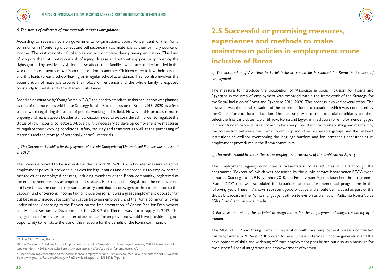



#### *c) The status of collectors of raw materials remains unregulated*

According to research by non-governmental organisations, about 70 per cent of the Roma community in Montenegro collect and sell secondary raw materials as their primary source of income. The vast majority of collectors did not complete their primary education. This kind of job puts them at continuous risk of injury, disease and without any possibility to enjoy the rights granted by positive legislation. It also affects their families, which are usually included in the work and consequently move from one location to another. Children often follow their parents and this leads to early school-leaving or irregular school attendance. This job also involves the accumulation of materials around their place of residence and the whole family is exposed constantly to metals and other harmful substances.

Based on an initiative by Young Roma NGO,<sup>69</sup> the need to standardise this occupation was planned as one of the measures within the Strategy for the Social Inclusion of Roma 2016–2020 as a first step toward regulating the status of people working in this field. However, this process remains ongoing and many aspects besides standardisation need to be considered in order to regulate the status of raw material collectors. Above all, it is necessary to develop comprehensive measures to regulate their working conditions, safety, security and transport as well as the purchasing of materials and the storage of potentially harmful materials.

#### *d) The Decree on Subsidies for Employment of certain Categories of Unemployed Persons was abolished in 201870*

This measure proved to be successful in the period 2012–2018 as a broader measure of active employment policy. It provided subsidies for legal entities and entrepreneurs to employ certain categories of unemployed persons, including members of the Roma community, registered at the employment bureaus as employment seekers. Pursuant to the Regulation, the employer did not have to pay the compulsory social security contribution on wages or the contribution to the Labour Fund or personal income tax for those persons. It was a great employment opportunity, but because of inadequate communication between employers and the Roma community it was underutilised. According to the Report on the Implementation of Action Plan for Employment and Human Resources Developments for  $2018$ ,<sup> $7$ </sup> the Decree was not to apply in 2019. The engagement of mediators and later of associates for employment would have provided a good opportunity to reinstate the use of this measure for the benefit of the Roma community.

## **2.5 Successful or promising measures, experiences and methods to make mainstream policies in employment more inclusive of Roma**

*a) The occupation of Associate in Social Inclusion should be introduced for Roma in the area of employment*

The measure to introduce the occupation of 'Associate in social inclusion' for Roma and Egyptians in the area of employment was prepared within the framework of the Strategy for the Social Inclusion of Roma and Egyptians 2016–2020. This process involved several steps. The first step was the standardisation of the aforementioned occupation, which was conducted by the Centre for vocational education. The next step was to train potential candidates and then select the final candidates. Up until now, Roma and Egyptian mediators for employment engaged in donor funded projects have proven to be a very important link in establishing and maintaining the connection between the Roma community and other vulnerable groups and the relevant institutions as well for overcoming the language barriers and for increased understanding of employment procedures in the Roma community.

#### *b) The media should promote the active employment measures of the Employment Agency*

The Employment Agency conducted a presentation of its activities in 2018 through the programme 'Pokreni se', which was presented by the public service broadcaster RTCG twice a month. Starting from 29 November 2018, the Employment Agency launched the programme 'PutokaZZZ' that was scheduled for broadcast on the aforementioned programme in the following year. These TV shows represent good practice and should be included as part of the shows broadcast in the Romani language, both on television as well as on Radio via Roma Voice (Glas Roma) and on social media.

#### *c) Roma women should be included in programmes for the employment of long-term unemployed women.*

The NGOs HELP and Young Roma in cooperation with local employment bureaus conducted this programme in 2015–2017. It proved to be a success in terms of income generation and the development of skills and widening of future employment possibilities but also as a measure for the successful social integration and empowerment of women.

<sup>69</sup> The NGO 'Young Roma'.

<sup>70</sup> The Decree on Subsidies for the Employment of certain Categories of Unemployed persons, Official Gazette of Montenegro, No. 11/2012. Available from www.bizniszona.me/en/subsidies-for-employment/.

<sup>71</sup> Report on Implementation of the Action Plan for Employment and Human Resources Developments for 2018. Available from www.gov.me/ResourceManager/FileDownload.aspx?rId=358147&rType=2.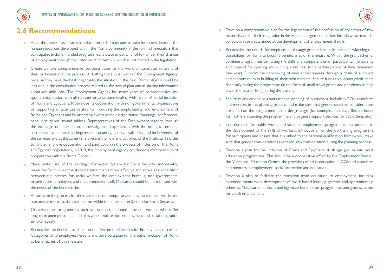

### **2.6 Recommendations**

- $\frac{1}{2}$ . As in the case of associates in education, it is important to take into consideration the human resources developed within the Roma community in the form of mediators that participated in donor-funded programmes. It is also important not to hamper their chances of employment through the criterion of citizenship, which is not rooted in the legislation.
- , Create a more comprehensive job description for the work of associates in terms of their participation in the process of drafting the annual plans of the Employment Agency, because they have the best insight into the situation in the field. Roma NGOs should be included in the consultation process related to the annual plan and in sharing information about available jobs. The Employment Agency has many years of comprehensive and quality cooperation with all relevant organizations dealing with issues of social inclusion of Roma and Egyptians. It develops its cooperation with non-governmental organizations by supporting all activities related to improving the employability and employment of Roma and Egyptians and by attending events in their organization (meetings, conferences, panel discussions, round tables). Representatives of the Employment Agency, through the exchange of information, knowledge and experiences with the non-governmental sector, receive inputs that improve the quantity, quality, availability and inclusiveness of the services and at the same time present the role and activities of the Institute. In order to further improve cooperation and joint action in the process of inclusion of the Roma and Egyptian populations, in 2019, the Employment Agency concluded a memorandum of cooperation with the Roma Council.
- <sup>8</sup>. Make better use of the existing Information System for Social Security and develop measures for multi-sectorial cooperation that is more effective and above all cooperation between the centres for social welfare, the employment bureaus, non-governmental organisations, employers and the community itself. Measures should be harmonised with the needs of the beneficiaries.
- Automatize the process for the transition from temporary employment (public works and seasonal work) to social care income within the Information System for Social Security.
- , Organise more programmes such as the one mentioned above on women who suffer long-term unemployment and in this way stimulate both employment and social integration simultaneously.
- $\frac{1}{20}$  Reconsider the decision to abolition the Decree on Subsidies for Employment of certain Categories of Unemployed Persons and develop a plan for the better inclusion of Roma as beneficiaries of this measure.
- , Develop a comprehensive plan for the legalisation of the profession of collectors of raw materials and for their integration in the waste management market. Include waste material collectors in projects aimed at the development of entrepreneurial skills.
- Reconsider the criteria for employment through grant schemes in terms of widening the possibilities for Roma to become beneficiaries of this measure. Within the grant scheme, combine programmes on raising the skills and competencies of participants, mentorship and support for opening and running a business for a certain period of time (minimum one year). Support the networking of new entrepreneurs through a chain of suppliers and support them in building of their own markets. Secure funds to support participants financially during the programme (in the form of small travel grants and per diems to help cover the cost of living during the training).
- Secure micro-credits or grants for the opening of businesses. Include NGOs, associates and mentors in the planning process and make sure that gender-sensitive considerations are built into the programme at the design stage (for example, introduce flexible hours for mothers attending the programme and organise support services for babysitting, etc.).
- , In order to make public works and seasonal employment programmes instrumental to the development of the skills of workers, introduce an on-the-job training programme for participants and ensure that it is linked to the national qualification framework. Make sure that gender considerations are taken into consideration during the planning process.
- Develop a plan for the inclusion of Roma and Egyptians of all age groups into adult education programmes. This should be a cooperative effort by the Employment Bureau, the Vocational Education Centre, the providers of adult education, NGOs and associates and mentors in employment, social protection and education.
- Develop a plan to facilitate the transition from education to employment, including extended mentorship, development of work-based learning systems and apprenticeship schemes. Make sure that Roma and Egyptians benefit from programmes and grant schemes for youth employment.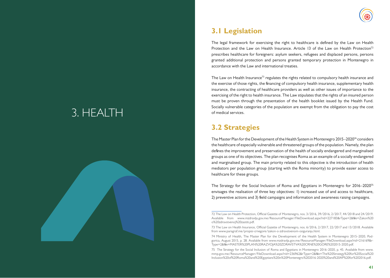# 3. HEALTH





## **3.1 Legislation**

The legal framework for exercising the right to healthcare is defined by the Law on Health Protection and the Law on Health Insurance. Article 13 of the Law on Health Protection<sup>72</sup> prescribes healthcare for foreigners: asylum seekers, refugees and displaced persons, persons granted additional protection and persons granted temporary protection in Montenegro in accordance with the Law and international treaties.

The Law on Health Insurance<sup>73</sup> regulates the rights related to compulsory health insurance and the exercise of those rights, the financing of compulsory health insurance, supplementary health insurance, the contracting of healthcare providers as well as other issues of importance to the exercising of the right to health insurance. The Law stipulates that the rights of an insured person must be proven through the presentation of the health booklet issued by the Health Fund. Socially vulnerable categories of the population are exempt from the obligation to pay the cost of medical services.

## **3.2 Strategies**

The Master Plan for the Development of the Health System in Montenegro 2015–202074 considers the healthcare of especially vulnerable and threatened groups of the population. Namely, the plan defines the improvement and preservation of the health of socially endangered and marginalised groups as one of its objectives. The plan recognises Roma as an example of a socially endangered and marginalised group. The main priority related to this objective is the introduction of health mediators per population group (starting with the Roma minority) to provide easier access to healthcare for these groups.

The Strategy for the Social Inclusion of Roma and Egyptians in Montenegro for 2016–202075 envisages the realisation of three key objectives: 1) increased use of and access to healthcare, 2) preventive actions and 3) field campaigns and information and awareness raising campaigns.

<sup>72</sup> The Law on Health Protection, Official Gazette of Montenegro, nos. 3/2016, 39/2016, 2/2017, 44/2018 and 24/2019. Available from www.mzdravlja.gov.me/ResourceManager/FileDownload.aspx?rid=227183&rType=2&file=Zakon%20 o%20zdravstvenoj%20zastiti.pdf.

<sup>73</sup> The Law on Health Insurance, Official Gazette of Montenegro, nos. 6/2016, 2/2017, 22/2017 and 13/2018. Available from www.paragraf.me/propisi-crnegore/zakon-o-zdravstvenom-osiguranju.html.

<sup>74</sup> Ministry of Health, The Master Plan for the Development of the Health System in Montenegro 2015–2020, Podgorica, August 2015, p. 28. Available from www.mzdravlja.gov.me/ResourceManager/FileDownload.aspx?rid=216169&r-Type=2&file=MASTER%20PLAN%20RAZVOJA%20ZDRAVSTVA%20CRNE%20GORE%202015-2020.pdf.

<sup>75</sup> The Strategy for the Social Inclusion of Roma and Egyptians in Montenegro 2016–2020, p. 45. Available from www. mmp.gov.me/ResourceManager/FileDownload.aspx?rid=236962&rType=2&file=The%20Strategy%20for%20Social%20 Inclusion%20of%20Roma%20and%20Egyptians%20in%20Montenegro%202016-2020%20and%20AP%20for%202016.pdf.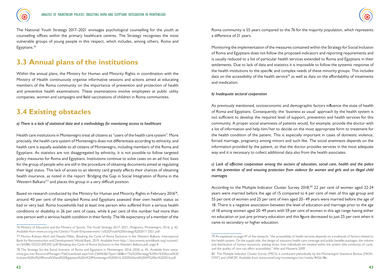

The National Youth Strategy 2017–2021 envisages psychological counselling for the youth at counselling offices within the primary healthcare centres. The Strategy recognises the most vulnerable groups of young people in this respect, which includes, among others, Roma and Egyptians.<sup>76</sup>

### **3.3 Annual plans of the institutions**

Within the annual plans, the Ministry for Human and Minority Rights in coordination with the Ministry of Health continuously organise informative sessions and actions aimed at educating members of the Roma community on the importance of prevention and protection of health and preventive health examinations. These examinations involve employees at public utility companies, women and campaigns and field vaccinations of children in Roma communities.

### **3.4 Existing obstacles**

*a) There is a lack of statistical data and a methodology for monitoring access to healthcare*

Health care institutions in Montenegro treat all citizens as "users of the health care system". More precisely, the health care system of Montenegro does not differentiate according to ethnicity, and health care is equally available to all citizens of Montenegro, including members of the Roma and Egyptians. As statistics are not disaggregated by ethnicity, it is not possible to follow targeted policy measures for Roma and Egyptians. Institutions continue to solve cases on an ad-hoc basis for the group of people who are still in the procedure of obtaining documents aimed at regulating their legal status. This lack of access to an identity card greatly affects their chances of obtaining health insurance, as noted in the report 'Bridging the Gap in Social Integration of Roma in the Western Balkans'77 and places this group in a very difficult position.

Based on research conducted by the Ministry for Human and Minority Rights in February 2016<sup>78</sup>, around 40 per cent of the sampled Roma and Egyptians assessed their own health status as bad or very bad. Roma households had at least one person who suffered from a serious health conditions or disability in 26 per cent of cases, while 6 per cent of this number had more than one person with a serious health condition in their family. The life expectancy of a member of the

Roma community is 55 years compared to the 76 for the majority population, which represents a difference of 21 years.

Monitoring the implementation of the measures contained within the Strategy for Social Inclusion of Roma and Egyptians does not follow the proposed indicators and reporting requirements and is usually reduced to a list of particular health services extended to Roma and Egyptians in their settlements. Due to lack of data and statistics it is impossible to follow the systemic response of the health institutions to the specific and complex needs of these minority groups. This includes data on the accessibility of the health service<sup>79</sup> as well as data on the affordability of treatments and medication.

#### *b) Inadequate sectoral cooperation*

As previously mentioned, socioeconomic and demographic factors influence the state of health of Roma and Egyptians. Consequently, the 'business as usual' approach by the health system is not sufficient to develop the required level of support, prevention and health services for this community. A proper social anamnesis of patients would, for example, provide the doctor with a lot of information and help him/her to decide on the most appropriate form to treatment for the health condition of the patient. This is especially important in cases of domestic violence, forced marriage, pregnancy among minors and such like. The social anamnesis depends on the information provided by the patient, so that the doctor provides services in the most adequate way and it is necessary to collect additional data also from the health associates.

*c) Lack of effective cooperation among the sectors of education, social care, health and the police on the prevention of and ensuring protection from violence for women and girls and on illegal child marriages*

According to the Multiple Indicator Cluster Survey 2018,<sup>80</sup> 22 per cent of women aged 22-24 years were married before the age of 15 compared to 6 per cent of men of this age group and 55 per cent of women and 25 per cent of men aged 20–49 years were married before the age of 18. There is a negative association between the level of education and marriage prior to the age of 18 among women aged 20-49 years with 59 per cent of women in this age range having either no education or just pre-primary education and this figure decreased to just 25 per cent when it came to secondary or higher education.

<sup>76</sup> Ministry of Education and the Ministry of Sports, The Youth Strategy 2017–2021, Podgorica, Montenegro, 2016, p. 42. Available from www.un.org.me/Library/Youth-Empowerment/1a%20Youth%20Strategy%202017-2021.pdf

<sup>77</sup> Monica Robayo-Abril and Natalia Millán, Breaking the Cycle of Roma Exclusion in the Western Balkans, International Bank for Reconstruction and Development/World Bank, 2019. Available from http://documents.worldbank.org/curated/ en/642861552321695392/pdf/Breaking-the-Cycle-of-Roma-Exclusion-in-the-Western-Balkans.pdf, page 8.

<sup>78</sup> The Strategy for the Social Inclusion of Roma and Egyptians in Montenegro 2016–2020, p. 45. Available from www. mmp.gov.me/ResourceManager/FileDownload.aspx?rid=236962&rType=2&file=The%20Strategy%20for%20Social%20 Inclusion%20of%20Roma%20and%20Egyptians%20in%20Montenegro%202016-2020%20and%20AP%20for%202016.pdf

<sup>79</sup> As explained on page 47 of the research, "the accessibility of health services depends on a multitude of factors related to the health system. On the supply side, the design of statutory health care coverage and public benefits packages, the volume and distribution of human resources, waiting times, how individuals are treated within the system (the continuity of care), and the quality of care can affect accessibility." Allin and Masseria 2009.

<sup>80</sup> The Multiple Indicator Cluster Survey (MICS) is conducted periodically by the Montenegrin Statistical Bureau (MON-STAT) and UNICEF. Available from www.unicef.org/montenegro/en/media/8426/file.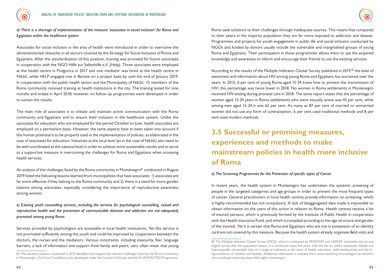



*d) There is a shortage of implementation of the measure 'associates in social inclusion' for Roma and Egyptians within the healthcare system*

Associates for social inclusion in the area of health were introduced in order to overcome the aforementioned obstacles in all sectors covered by the Strategy for Social Inclusion of Roma and Egyptians. After the standardisation of this position, training was provided for future associates in cooperation with the NGO Hilfe zur Selbsthilfe e.V. (Help). Three associates were employed at the health centre in Podgorica in 2017 and one mediator was hired at the health centre in Nikšić, while HELP engaged one in Berane on a project basis by until the end of January 2019. In cooperation with the public health sector and the Municipality of Nikšić, 15 members of the Roma community received training at health institutions in the city. The training lasted for nine months and ended in April 2018; however, no follow-up programmes were developed in order to sustain the results.

The main role of associates is to initiate and maintain active communication with the Roma community and Egyptians and to ensure their inclusion in the healthcare system. Unlike the associates for education who are employed for the period October to June, health associates are employed on a permanent basis. However, the same aspects have to been taken into account if this human potential is to be properly used in the implementation of policies, as elaborated in the case of associates for education. Initiatives at the local level (as in the case of Nikšić) also need to be well coordinated at the national level in order to achieve more sustainable results and to serve as a supportive measure in overcoming the challenges for Roma and Egyptians when accessing health services.

An analysis of the challenges faced by the Roma community in Montenegro<sup>81</sup> conducted in August 2019 listed the following lessons learned from municipalities that have associates: 1) associates are far more effective if they belong to the Roma community and 2) there is a need for more gender balance among associates, especially considering the importance of reproductive awareness among women.

*e) Existing youth counselling services, including the services for psychological counselling, sexual and reproductive health and the prevention of communicable diseases and addiction are not adequately promoted among young Roma*

Services provided by psychologists are accessible in local health institutions. Yet this service is not promoted sufficiently among the youth and could be improved by cooperation between the doctors, the nurses and the mediators. Various constraints, including insecurity, fear, language barriers, a lack of information and support from family and peers, very often mean that young

Roma seek solutions to their challenges through inadequate sources. This means that compared to their peers in the majority population they are far more exposed to addiction and disease. Programmes and projects for youth engagement in public life and social inclusion conducted by NGOs and funded by donors usually include the vulnerable and marginalised groups of young Roma and Egyptians. Their participation in those programmes allows them to use the acquired knowledge and awareness to inform and encourage their friends to use the existing services.

According to the results of the Multiple-Indicator Cluster Survey published in 2019,<sup>82</sup> the level of awareness and information about HIV among young Roma and Egyptians has worsened over the years. In 2013, 6 per cent of young Roma aged 15-24 knew how to prevent the transmission of HIV; this percentage was twice lower in 2018. No women in Roma settlements in Montenegro received HIV testing during prenatal care in 2018. The same report states that the percentage of women aged 15-24 years in Roma settlements who were sexually active was 45 per cent, while among men aged 15-24 it was 62 per cent. As many as 87 per cent of married or unmarried women did not use any form of contraception, 6 per cent used traditional methods and 8 per cent used modern methods.

## **3.5 Successful or promising measures, experiences and methods to make mainstream policies in health more inclusive of Roma**

#### *a) The Screening Programmes for the Prevention of specific types of Cancer*

In recent years, the health system in Montenegro has undertaken the systemic screening of people in the targeted categories and age groups in order to prevent the most frequent types of cancer. General practitioners in local health centres provide information on screening, which is highly recommended but not compulsory. A lack of disaggregated data made it impossible to obtain information on the users of this action in relation to Roma. Health centres receive a list of insured persons, which is previously formed by the Institute of Public Health in cooperation with the Health Insurance Fund, and which is compiled according to the age structure and gender of the insured. Yet it is certain that Roma and Egyptians who are not in possession of an identity card are not covered by this measure. Because the health system already organises field visits and

<sup>81</sup> The situation analyses conducted in 2019 identified and mapped the relevant challenges faced by the Roma community in Montenegro; De Facto Consultancy was developed under the Council of Europe and the EU ROMACTED Programme.

<sup>82</sup> The Multiple Indicator Cluster Survey (MICS), which is conducted by MONSTAT and UNICEF, represents the second largest survey after the population census. It is conducted every five years, with the aim to collect statistically reliable and internationally comparable data on a range of indicators in the areas of health, education, child development and the living conditions of children and families. Additional information is available from www.unicef.org/montenegro/en/stories/ mics-roadmap-improving-state-child-rights-montenegro.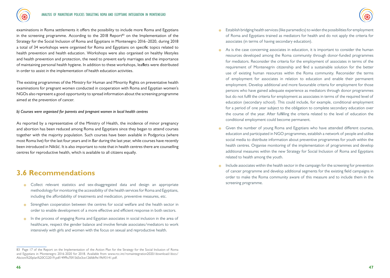examinations in Roma settlements it offers the possibility to include more Roma and Egyptians in the screening programme. According to the  $2018$  Report<sup>83</sup> on the Implementation of the Strategy for the Social Inclusion of Roma and Egyptians in Montenegro 2016–2020, during 2018 a total of 34 workshops were organised for Roma and Egyptians on specific topics related to health prevention and health education. Workshops were also organised on healthy lifestyles and health prevention and protection, the need to prevent early marriages and the importance of maintaining personal health hygiene. In addition to these workshops, leaflets were distributed in order to assist in the implementation of health education activities.

The existing programmes of the Ministry for Human and Minority Rights on preventative health examinations for pregnant women conducted in cooperation with Roma and Egyptian women's NGOs also represent a good opportunity to spread information about the screening programme aimed at the prevention of cancer.

*b) Courses were organised for parents and pregnant women in local health centres* 

As reported by a representative of the Ministry of Health, the incidence of minor pregnancy and abortion has been reduced among Roma and Egyptians since they began to attend courses together with the majority population. Such courses have been available in Podgorica (where most Roma live) for the last four years and in Bar during the last year, while courses have recently been introduced in Nikšić. It is also important to note that in health centres there are counselling centres for reproductive health, which is available to all citizens equally.

### **3.6 Recommendations**

- , Collect relevant statistics and sex-disaggregated data and design an appropriate methodology for monitoring the accessibility of the health services for Roma and Egyptians, including the affordability of treatments and medication, preventive measures, etc.
- , Strengthen cooperation between the centres for social welfare and the health sector in order to enable development of a more effective and efficient response in both sectors.
- , In the process of engaging Roma and Egyptian associates in social inclusion in the area of healthcare, respect the gender balance and involve female associates/mediators to work intensively with girls and women with the focus on sexual and reproductive health.
- , Establish bridging health services (like paramedics) to widen the possibilities for employment of Roma and Egyptians trained as mediators for health and do not apply the criteria for associates (in terms of having secondary education).
- $\frac{1}{2}$ . As is the case concerning associates in education, it is important to consider the human resources developed among the Roma community through donor-funded programmes for mediators. Reconsider the criteria for the employment of associates in terms of the requirement of Montenegrin citizenship and find a sustainable solution for the better use of existing human resources within the Roma community. Reconsider the terms of employment for associates in relation to education and enable their permanent employment. Develop additional and more favourable criteria for employment for those persons who have gained adequate experience as mediators through donor programmes but do not fulfil the criteria for employment as associates in terms of the required level of education (secondary school). This could include, for example, conditional employment for a period of one year subject to the obligation to complete secondary education over the course of the year. After fulfilling the criteria related to the level of education the conditional employment could become permanent.
- **6** Given the number of young Roma and Egyptians who have attended different courses, education and participated in NGO programmes, establish a network of people and utilise social media to distribute information about preventive programmes for youth within the health centres. Organise monitoring of the implementation of programmes and develop additional measures within the new Strategy for Social Inclusion of Roma and Egyptians related to health among the youth.
- $\frac{1}{2}$  Include associates within the health sector in the campaign for the screening for prevention of cancer programme and develop additional segments for the existing field campaigns in order to make the Roma community aware of this measure and to include them in the screening programme.

<sup>83</sup> Page 17 of the Report on the Implementation of the Action Plan for the Strategy for the Social Inclusion of Roma and Egyptians in Montenegro 2016-2020 for 2018. Available from www.rcc.int/romaintegration2020/download/docs/ Akcioni%20plan%20CG2019.pdf/49f9a70f1565e3ce126fdb9e19b93141.pdf.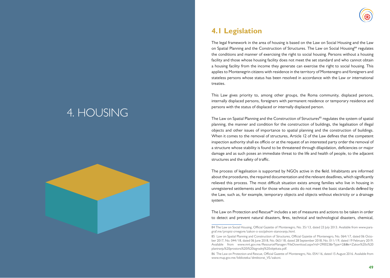# 4. HOUSING





## **4.1 Legislation**

The legal framework in the area of housing is based on the Law on Social Housing and the Law on Spatial Planning and the Construction of Structures. The Law on Social Housing<sup>84</sup> regulates the conditions and manner of exercising the right to social housing. Persons without a housing facility and those whose housing facility does not meet the set standard and who cannot obtain a housing facility from the income they generate can exercise the right to social housing. This applies to Montenegrin citizens with residence in the territory of Montenegro and foreigners and stateless persons whose status has been resolved in accordance with the Law or international treaties.

This Law gives priority to, among other groups, the Roma community, displaced persons, internally displaced persons, foreigners with permanent residence or temporary residence and persons with the status of displaced or internally displaced person.

The Law on Spatial Planning and the Construction of Structures<sup>85</sup> regulates the system of spatial planning, the manner and condition for the construction of buildings, the legalisation of illegal objects and other issues of importance to spatial planning and the construction of buildings. When it comes to the removal of structures, Article 12 of the Law defines that the competent inspection authority shall ex officio or at the request of an interested party order the removal of a structure whose stability is found to be threatened through dilapidation, deficiencies or major damage and as such poses an immediate threat to the life and health of people, to the adjacent structures and the safety of traffic.

The process of legalisation is supported by NGOs active in the field. Inhabitants are informed about the procedures, the required documentation and the relevant deadlines, which significantly relieved this process. The most difficult situation exists among families who live in housing in unregistered settlements and for those whose units do not meet the basic standards defined by the Law, such as, for example, temporary objects and objects without electricity or a drainage system.

The Law on Protection and Rescue<sup>86</sup> includes a set of measures and actions to be taken in order to detect and prevent natural disasters, fires, technical and technological disasters, chemical,

<sup>84</sup> The Law on Social Housing, Official Gazette of Montenegro, No. 35/13, dated 23 July 2013. Available from www.paragraf.me/propisi-crnegore/zakon-o-socijalnom-stanovanju.html.

<sup>85</sup> Law on Spatial Planning and Construction of Structures, Official Gazette of Montenegro, No. 064/17, dated 06 October 2017, No. 044/18, dated 06 June 2018, No. 063/18, dated 28 September 2018, No. 011/19, dated 19 February 2019. Available from www.mrt.gov.me/ResourceManager/FileDownload.aspx?rid=290023&rType=2&file=Zakon%20o%20 planiranju%20prostora%20i%20izgradnji%20objekata.pdf.

<sup>86</sup> The Law on Protection and Rescue, Official Gazette of Montenegro, No. 054/16, dated 15 August 2016. Available from www.mup.gov.me/biblioteka/direktorat\_VS/zakoni.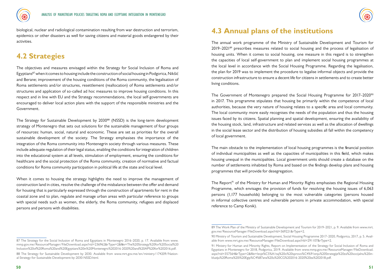

biological, nuclear and radiological contamination resulting from war destruction and terrorism, epidemics or other disasters as well for saving citizens and material goods endangered by their activities.

## **4.2 Strategies**

The objectives and measures envisaged within the Strategy for Social Inclusion of Roma and Egyptians87 when it comes to housing include the construction of social housing in Podgorica, Nikšić and Berane; improvement of the housing conditions of the Roma community, the legalisation of Roma settlements and/or structures, resettlement (reallocation) of Roma settlements and/or structures and application of so-called ad hoc measures to improve housing conditions. In this respect and in line with EU and the Strategy recommendations, the local self-governments are encouraged to deliver local action plans with the support of the responsible ministries and the Government.

The Strategy for Sustainable Development by 2030<sup>88</sup> (NSSD) is the long-term development strategy of Montenegro that sets out solutions for the sustainable management of four groups of resources: human, social, natural and economic. These are set as priorities for the overall sustainable development of the society. The Strategy emphasises the importance of the integration of the Roma community into Montenegrin society through various measures. These include adequate regulation of their legal status, enabling the conditions for integration of children into the educational system at all levels, stimulation of employment, ensuring the conditions for healthcare and the social protection of the Roma community, creation of normative and factual conditions for Roma community participation in political life at the state and local level.

When it comes to housing the strategy highlights the need to improve the management of construction land in cities, resolve the challenge of the misbalance between the offer and demand for housing that is particularly expressed through the construction of apartments for rent in the coastal zone and to plan, regulate and manage urban areas with particular reference to groups with special needs such as women, the elderly, the Roma community, refugees and displaced persons and persons with disabilities.

### **4.3 Annual plans of the institutions**

The annual work programme of the Ministry of Sustainable Development and Tourism for  $2019-2021^{89}$  prescribes measures related to social housing and the process of legalisation of housing units. When it comes to social housing, one measure in this regard is to strengthen the capacities of local self-government to plan and implement social housing programmes at the local level in accordance with the Social Housing Programme. Regarding the legalisation, the plan for 2019 was to implement the procedure to legalise informal objects and provide the construction infrastructure to ensure a decent life for citizens in settlements and to create better living conditions.

The Government of Montenegro prepared the Social Housing Programme for 2017–2020<sup>90</sup> in 2017. This programme stipulates that housing be primarily within the competence of local authorities, because the very nature of housing relates to a specific area and local community. The local community more easily recognises the needs of the population and thus the housing issues faced by its citizens. Spatial planning and spatial development, ensuring the availability of the housing stock, land, infrastructure and related services as well as the allocation of dwellings in the social lease sector and the distribution of housing subsidies all fall within the competency of local government.

The main obstacle to the implementation of local housing programmes is the financial position of individual municipalities as well as the capacities of municipalities in this field, which makes housing unequal in the municipalities. Local government units should create a database on the number of settlements inhabited by Roma and based on the findings develop plans and housing programmes that will provide for desegregation.

The Report<sup>91</sup> of the Ministry for Human and Minority Rights emphasises the Regional Housing Programme, which envisages the provision of funds for resolving the housing issues of 6,063 persons (1,177 households) belonging to the most vulnerable categories (persons housed in informal collective centres and vulnerable persons in private accommodation, with special reference to Camp Konik).

<sup>87</sup> The Strategy for the Social Inclusion of Roma and Egyptians in Montenegro 2016–2020, p. 17. Available from www. mmp.gov.me/ResourceManager/FileDownload.aspx?rid=236962&rType=2&file=The%20Strategy%20for%20Social%20 Inclusion%20of%20Roma%20and%20Egyptians%20in%20Montenegro%202016-2020%20and%20AP%20for%202016.pdf.

<sup>88</sup> The Strategy for Sustainable Development by 2030. Available from www.mrt.gov.me/en/ministry/174209/National-Strategy-for-Sustainable-Development-by-2030-NSSD.html.

<sup>89</sup> The Work Plan of the Ministry of Sustainable Development and Tourism for 2019–2021, p. 9. Available from www.mrt. gov.me/ResourceManager/FileDownload.aspx?rId=369221&rType=2.

<sup>90</sup> Ministry of Tourism and Sustainable Development, Social Housing Programme 2017–2020, Podgorica, 2017, p. 5. Available from www.mrt.gov.me/ResourceManager/FileDownload.aspx?rId=291107&rType=2.

<sup>91</sup> Ministry for Human and Minority Rights, Report on Implementation of the Strategy for Social Inclusion of Roma and Egyptians in Montenegro for 2018, Podgorica, 2019. Available from www.mmp.gov.me/ResourceManager/FileDownload. aspx?rid=357564&rType=2&file=Izvje%C5%A1taj%20o%20sprovo%C4%91enju%20Strategije%20za%20socijalnu%20inkluziju%20Roma%20i%20Egip%C4%87ana%20u%20CG%202016-2020%20za%202018.pdf.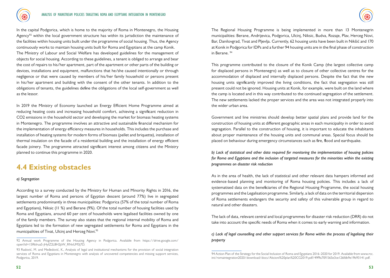

In the capital Podgorica, which is home to the majority of Roma in Montenegro, the Housing Agency<sup>92</sup> within the local government structure has within its jurisdiction the maintenance of the facilities within housing units built under the programme of social housing. Thus, the Agency continuously works to maintain housing units built for Roma and Egyptians at the camp Konik. The Ministry of Labour and Social Welfare has developed guidelines for the management of objects for social housing. According to these guidelines, a tenant is obliged to arrange and bear the cost of repairs to his/her apartment, part of the apartment or other parts of the building or devices, installations and equipment, malfunctions that he/she caused intentionally or through negligence or that were caused by members of his/her family household or persons present in his/her apartment and building with the consent of the other tenants. In addition to the obligations of tenants, the guidelines define the obligations of the local self-government as well as the lessor.

In 2019 the Ministry of Economy launched an Energy Efficient Home Programme aimed at reducing heating costs and increasing household comfort, achieving a significant reduction in CO2 emissions in the household sector and developing the market for biomass heating systems in Montenegro. The programme involves an attractive and sustainable financial mechanism for the implementation of energy efficiency measures in households. This includes the purchase and installation of heating systems for modern forms of biomass (pellet and briquette), installation of thermal insulation on the facade of a residential building and the installation of energy efficient facade joinery. The programme attracted significant interest among citizens and the Ministry planned to continue this programme in 2020.

### **4.4 Existing obstacles**

#### *a) Segregation*

According to a survey conducted by the Ministry for Human and Minority Rights in 2016, the largest number of Roma and persons of Egyptian descent (around 77%) live in segregated settlements predominantly in three municipalities: Podgorica (57% of the total number of Roma and Egyptians), Niksic (11 %) and Berane (9%). Of the total number of housing facilities used by Roma and Egyptians, around 60 per cent of households were legalised facilities owned by one of the family members. The survey also states that the regional internal mobility of Roma and Egyptians led to the formation of new segregated settlements for Roma and Egyptians in the municipalities of Tivat, Ulcinj and Herceg Novi.<sup>93</sup>

The Regional Housing Programme is being implemented in more than 13 Montenegrin municipalities: Berane, Andrijevica, Podgorica, Ulcinj, Niksic, Budva, Rozaje, Plav, Herceg Novi, Bar, Danilovgrad, Tivat and Pljevlja. Currently, 62 housing units have been built in Nikšić and 170 at Konik in Podgorica for IDPs and a further 94 housing units are in the final phase of construction in Berane. 94

This programme contributed to the closure of the Konik Camp (the largest collective camp for displaced persons in Montenegro) as well as to closure of other collective centres for the accommodation of displaced and internally displaced persons. Despite the fact that the new housing units significantly improved the living conditions, the fact that segregation was still present could not be ignored. Housing units at Konik, for example, were built on the land where the camp is located and in this way contributed to the continued segregation of the settlement. The new settlements lacked the proper services and the area was not integrated properly into the wider urban area.

Government and line ministries should develop better spatial plans and provide land for the construction of housing units at different geographic areas in each municipality in order to avoid segragation. Parallel to the construction of housing, it is important to educate the inhabitants about proper maintenance of the housing units and communal areas. Special focus should be placed on behaviour during emergency circumstances such as fire, flood and earthquake.

*b) Lack of statistical and other data required for monitoring the implementation of housing policies for Roma and Egyptians and the inclusion of targeted measures for the minorities within the existing programmes on disaster risk reduction*

As in the area of health, the lack of statistical and other relevant data hampers informed and evidence-based planning and monitoring of Roma housing policies. This includes a lack of systematised data on the beneficiaries of the Regional Housing Programme, the social housing programmes and the Legalisation programme. Similarly, a lack of data on the territorial dispersion of Roma settlements endangers the security and safety of this vulnerable group in regard to natural and other disasters.

The lack of data, relevant central and local programmes for disaster risk reduction (DRR) do not take into account the specific needs of Roma when it comes to early warning and information.

*c) Lack of legal counselling and other support services for Roma within the process of legalising their property*

<sup>92</sup> Annual work Programme of the Housing Agency in Podgorica. Available from https://drive.google.com/ open?id=15RkIrua5-jHyIZ2L8H2jtW\_RNvUM3j7D.

<sup>93</sup> Radović, M. and Međedović, K., Analysis of legal and institutional mechanisms for the provision of social integration services of Roma and Egyptians in Montenegro with analysis of uncovered competencies and missing support services, Podgorica, 2019.

<sup>94</sup> Action Plan of the Strategy for the Social Inclusion of Roma and Egyptians 2016–2020 for 2019. Available from www.rcc. int/romaintegration2020/download/docs/Akcioni%20plan%20CG2019.pdf/49f9a70f1565e3ce126fdb9e19b93141.pdf.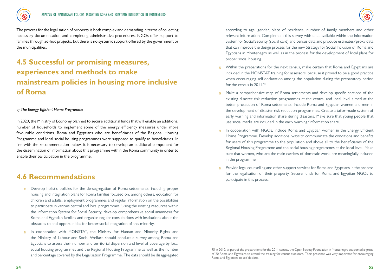

The process for the legalisation of property is both complex and demanding in terms of collecting necessary documentation and completing administrative procedures. NGOs offer support to families through ad-hoc projects, but there is no systemic support offered by the government or the municipalities.

## **4.5 Successful or promising measures, experiences and methods to make mainstream policies in housing more inclusive of Roma**

#### *a) The Energy Efficient Home Programme*

In 2020, the Ministry of Economy planned to secure additional funds that will enable an additional number of households to implement some of the energy efficiency measures under more favourable conditions. Roma and Egyptians who are beneficiaries of the Regional Housing Programme and local social housing programmes were supposed to qualify as beneficiaries. In line with the recommendation below, it is necessary to develop an additional component for the dissemination of information about this programme within the Roma community in order to enable their participation in the programme.

#### **4.6 Recommendations**

- , Develop holistic policies for the de-segregation of Roma settlements, including proper housing and integration plans for Roma families focused on, among others, education for children and adults, employment programmes and regular information on the possibilities to participate in various central and local programmes. Using the existing resources within the Information System for Social Security, develop comprehensive social anamnesis for Roma and Egyptian families and organise regular consultations with institutions about the obstacles to and opportunities for better social integration of this minority.
- , In cooperation with MONSTAT, the Ministry for Human and Minority Rights and the Ministry of Labour and Social Welfare should conduct a survey among Roma and Egyptians to assess their number and territorial dispersion and level of coverage by local social housing programmes and the Regional Housing Programme as well as the number and percentage covered by the Legalisation Programme. The data should be disaggregated

according to age, gender, place of residence, number of family members and other relevant information. Complement this survey with data available within the Information System for Social Security (social card) and census data and produce estimates/proxy data that can improve the design process for the new Strategy for Social Inclusion of Roma and Egyptians in Montenegro as well as in the process for the development of local plans for proper social housing.

- Within the preparations for the next census, make certain that Roma and Egyptians are included in the MONSTAT training for assessors, because it proved to be a good practice when encouraging self-declaration among the population during the preparatory period for the census in 2011.95
- , Make a comprehensive map of Roma settlements and develop specific sections of the existing disaster risk reduction programmes at the central and local level aimed at the better protection of Roma settlements. Include Roma and Egyptian women and men in the development of disaster risk reduction programmes. Create a tailor-made system of early warning and information share during disasters. Make sure that young people that use social media are included in the early warning/information share.
- , In cooperation with NGOs, include Roma and Egyptian women in the Energy Efficient Home Programme. Develop additional ways to communicate the conditions and benefits for users of this programme to the population and above all to the beneficiaries of the Regional Housing Programme and the social housing programmes at the local level. Make sure that women, who are the main carriers of domestic work, are meaningfully included in the programme.
- , Provide legal counselling and other support services for Roma and Egyptians in the process for the legalisation of their property. Secure funds for Roma and Egyptian NGOs to participate in this process.

<sup>95</sup> In 2010, as part of the preparations for the 2011 census, the Open Society Foundation in Montenegro supported a group of 20 Roma and Egyptians to attend the training for census assessors. Their presence was very important for encouraging Roma and Egyptians to self-declare.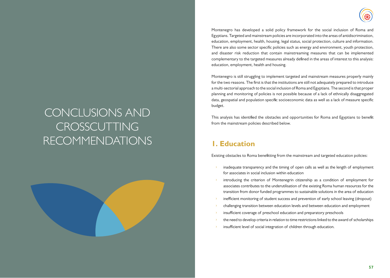Montenegro has developed a solid policy framework for the social inclusion of Roma and Egyptians. Targeted and mainstream policies are incorporated into the areas of antidiscrimination, education, employment, health, housing, legal status, social protection, culture and information. There are also some sector specific policies such as energy and environment, youth protection, and disaster risk reduction that contain mainstreaming measures that can be implemented complementary to the targeted measures already defined in the areas of interest to this analysis: education, employment, health and housing.

Montenegro is still struggling to implement targeted and mainstream measures properly mainly for the two reasons. The first is that the institutions are still not adequately prepared to introduce a multi-sectorial approach to the social inclusion of Roma and Egyptians. The second is that proper planning and monitoring of policies is not possible because of a lack of ethnically disaggregated data, geospatial and population specific socioeconomic data as well as a lack of measure specific budget.

This analysis has identified the obstacles and opportunities for Roma and Egyptians to benefit from the mainstream policies described below.

## **1. Education**

Existing obstacles to Roma benefitting from the mainstream and targeted education policies:

- inadequate transparency and the timing of open calls as well as the length of employment for associates in social inclusion within education
- introducing the criterion of Montenegrin citizenship as a condition of employment for associates contributes to the underutilisation of the existing Roma human resources for the transition from donor funded programmes to sustainable solutions in the area of education
- inefficient monitoring of student success and prevention of early school leaving (dropout)
- challenging transition between education levels and between education and employment
- insufficient coverage of preschool education and preparatory preschools
- the need to develop criteria in relation to time restrictions linked to the award of scholarships
- insufficient level of social integration of children through education.

# CONCLUSIONS AND **CROSSCUTTING** RECOMMENDATIONS

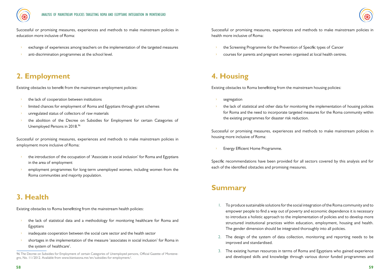

Successful or promising measures, experiences and methods to make mainstream policies in education more inclusive of Roma:

- exchange of experiences among teachers on the implementation of the targeted measures
- anti-discrimination programmes at the school level.

## **2. Employment**

Existing obstacles to benefit from the mainstream employment policies:

- the lack of cooperation between institutions
- limited chances for employment of Roma and Egyptians through grant schemes
- unregulated status of collectors of raw materials
- the abolition of the Decree on Subsidies for Employment for certain Categories of Unemployed Persons in 2018.<sup>96</sup>

Successful or promising measures, experiences and methods to make mainstream policies in employment more inclusive of Roma:

- the introduction of the occupation of 'Associate in social inclusion' for Roma and Egyptians in the area of employment
- employment programmes for long-term unemployed women, including women from the Roma communities and majority population.

## **3. Health**

Existing obstacles to Roma benefitting from the mainstream health policies:

- the lack of statistical data and a methodology for monitoring healthcare for Roma and Egyptians
- inadequate cooperation between the social care sector and the health sector
- shortages in the implementation of the measure 'associates in social inclusion' for Roma in the system of healthcare'.

Successful or promising measures, experiences and methods to make mainstream policies in health more inclusive of Roma:

- the Screening Programme for the Prevention of Specific types of Cancer
- courses for parents and pregnant women organised at local health centres.

## **4. Housing**

Existing obstacles to Roma benefitting from the mainstream housing policies:

- segregation
- the lack of statistical and other data for monitoring the implementation of housing policies for Roma and the need to incorporate targeted measures for the Roma community within the existing programmes for disaster risk reduction.

Successful or promising measures, experiences and methods to make mainstream policies in housing more inclusive of Roma:

Energy Efficient Home Programme.

Specific recommendations have been provided for all sectors covered by this analysis and for each of the identified obstacles and promising measures.

### **Summary**

- 1. To produce sustainable solutions for the social integration of the Roma community and to empower people to find a way out of poverty and economic dependence it is necessary to introduce a holistic approach to the implementation of policies and to develop more structured institutional practices within education, employment, housing and health. The gender dimension should be integrated thoroughly into all policies.
- 2. The design of the system of data collection, monitoring and reporting needs to be improved and standardised.
- 3. The existing human resources in terms of Roma and Egyptians who gained experience and developed skills and knowledge through various donor funded programmes and

<sup>96</sup> The Decree on Subsidies for Employment of certain Categories of Unemployed persons, Official Gazette of Montenegro, No. 11/2012. Available from www.bizniszona.me/en/subsidies-for-employment/.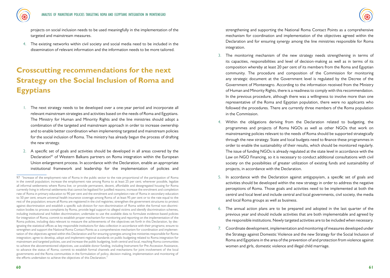

projects on social inclusion needs to be used meaningfully in the implementation of the targeted and mainstream measures.

4. The existing networks within civil society and social media need to be included in the dissemination of relevant information and the information needs to be more tailored.

## **Crosscutting recommendations for the next Strategy on the Social Inclusion of Roma and Egyptians**

- 1. The next strategy needs to be developed over a one-year period and incorporate all relevant mainstream strategies and activities based on the needs of Roma and Egyptians. The Ministry for Human and Minority Rights and the line ministries should adopt a combination of the targeted and mainstream approach in order to increase ownership and to enable better coordination when implementing targeted and mainstream policies for the social inclusion of Roma. The ministry has already begun the process of drafting the new strategy.
- 2. A specific set of goals and activities should be developed in all areas covered by the Declaration<sup>97</sup> of Western Balkans partners on Roma integration within the European Union enlargement process. In accordance with the Declaration, enable an appropriate institutional framework and leadership for the implementation of policies and

strengthening and supporting the National Roma Contact Points as a comprehensive mechanism for coordination and implementation of the objectives agreed within the Declaration and for ensuring synergy among the line ministries responsible for Roma integration.

- 3. The monitoring mechanism of the new strategy needs strengthening in terms of its capacities, responsibilities and level of decision-making as well as in terms of its composition whereby at least 20 per cent of its members from the Roma and Egyptian community. The procedure and composition of the Commission for monitoring any strategic document at the Government level is regulated by the Decree of the Government of Montenegro. According to the information received from the Ministry of Human and Minority Rights, there is a readiness to comply with this recommendation. In the previous procedure, although there was a willingness to involve more than one representative of the Roma and Egyptian population, there were no applicants who followed the procedures. There are currently three members of the Roma population in the Commission.
- 4. Within the obligations deriving from the Declaration related to budgeting, the programmes and projects of Roma NGOs as well as other NGOs that work on mainstreaming policies relevant to the needs of Roma should be supported strategically through the new strategy. State and local budgets need to finance these programmes in order to enable the sustainability of their results, which should be monitored regularly. The issue of funding NGOs is already regulated at the state level in accordance with the Law on NGO Financing, so it is necessary to conduct additional consultations with civil society on the possibilities of greater utilization of existing funds and sustainability of projects, in accordance with the Declaration.
- 5. In accordance with the Declaration against antigypsyism, a specific set of goals and activities should be developed within the new strategy in order to address the negative perceptions of Roma. Those goals and activities need to be implemented at both the centrsl and local level and include central and local governments, civil society, the media and local Roma groups as well as business.
- 6. The annual action plans are to be prepared and adopted in the last quarter of the previous year and should include activities that are both implementable and agreed by the responsible institutions. Newly targeted activities are to be included when necessary.
- 7. Coordinate development, implementation and monitoring of measures developed under the Strategy against Domestic Violence and the new Strategy for the Social Inclusion of Roma and Egyptians in the area of the prevention of and protection from violence against women and girls, domestic violence and illegal child marriage.

<sup>97 &</sup>quot;Increase of the employment rate of Roma in the public sector to the rate proportional of the participation of Roma in the overall population; increase the employment rate among Roma to at least 25 per cent; wherever possible, legalize all informal settlements where Roma live; or provide permanent, decent, affordable and desegregated housing for Roma currently living in informal settlements that cannot be legalised for justified reasons; increase the enrolment and completion rate of Roma in primary education to 90 per cent and the enrolment and completion rate of Roma in secondary education to 50 per cent; ensure universal health insurance coverage among Roma of at least 95 per cent or to the rate equal to the rest of the population; ensure all Roma are registered in the civil registries; strengthen the government structures to protect against discrimination and establish a specific sub-division for non-discrimination of Roma within the formal non-discrimination bodies to process complaints by Roma, provide legal support to alleged victims and identify discrimination schemes, including institutional and hidden discrimination; undertake to use the available data to formulate evidence-based policies for integration of Roma; commit to establish proper mechanism for monitoring and reporting on the implementation of the Roma policies, including data relevant to measure the achievements of the objectives set forth in this Declaration, by designating the statistical offices as key responsible institutions for data collection in accordance with their programs; ensure to strengthen and support the National Roma Contact Points as a comprehensive mechanism for coordination and implementation of the objectives agreed within this Declaration and for ensuring synergies among line ministries responsible for Roma integration; agree to develop, adopt and implement regional standards on public budgeting related to Roma integration for mainstream and targeted policies, use and increase the public budgeting, both central and local, reaching Roma communities to achieve the abovementioned objectives, use available donor funding, including Instrument for Pre-Accession Assistance, to advance the status of Roma; commit to establish formal channels and mechanisms for joint involvement of the local governments and the Roma communities in the formulation of policy, decision making, implementation and monitoring of the efforts undertaken to achieve the objectives of this Declaration."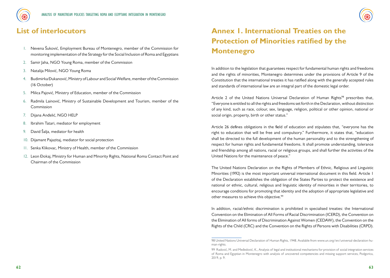



### **List of interlocutors**

- 1. Nevena Šuković, Employment Bureau of Montenegro, member of the Commission for monitoring implementation of the Strategy for the Social Inclusion of Roma and Egyptians
- 2. Samir Jaha, NGO Young Roma, member of the Commission
- 3. Natalija Milović, NGO Young Roma
- 4. Budimirka Đukanović, Ministry of Labour and Social Welfare, member of the Commission (16 October)
- 5. Milica Pajović, Ministry of Education, member of the Commission
- 6. Radmila Lainović, Ministry of Sustainable Development and Tourism, member of the Commission
- 7. Dijana Anđelić, NGO HELP
- 8. Ibrahim Tatari, mediator for employment
- 9. David Šalja, mediator for health
- 10. Dijamant Pajazitaj, mediator for social protection
- 11. Senka Klikovac, Ministry of Health, member of the Commission
- 12. Leon Đokaj, Ministry for Human and Minority Rights, National Roma Contact Point and Chairman of the Commission

## **Annex 1. International Treaties on the Protection of Minorities ratified by the Montenegro**

In addition to the legislation that guarantees respect for fundamental human rights and freedoms and the rights of minorities, Montenegro determines under the provisions of Article 9 of the Constitution that the international treaties it has ratified along with the generally accepted rules and standards of international law are an integral part of the domestic legal order.

Article 2 of the United Nations Universal Declaration of Human Rights<sup>98</sup> prescribes that, "Everyone is entitled to all the rights and freedoms set forth in the Declaration, without distinction of any kind, such as race, colour, sex, language, religion, political or other opinion, national or social origin, property, birth or other status."

Article 26 defines obligations in the field of education and stipulates that, "everyone has the right to education that will be free and compulsory." Furthermore, it states that, "education shall be directed to the full development of the human personality and to the strengthening of respect for human rights and fundamental freedoms. It shall promote understanding, tolerance and friendship among all nations, racial or religious groups, and shall further the activities of the United Nations for the maintenance of peace."

The United Nations Declaration on the Rights of Members of Ethnic, Religious and Linguistic Minorities (1992) is the most important universal international document in this field. Article 1 of the Declaration establishes the obligation of the States Parties to protect the existence and national or ethnic, cultural, religious and linguistic identity of minorities in their territories, to encourage conditions for promoting that identity and the adoption of appropriate legislative and other measures to achieve this objective.<sup>99</sup>

In addition, racial/ethnic discrimination is prohibited in specialised treaties: the International Convention on the Elimination of All Forms of Racial Discrimination (ICERD), the Convention on the Elimination of All forms of Discrimination Against Women (CEDAW), the Convention on the Rights of the Child (CRC) and the Convention on the Rights of Persons with Disabilities (CRPD).

<sup>98</sup> United Nations Universal Declaration of Human Rights, 1948. Available from www.un.org/en/universal-declaration-human-rights.

<sup>99</sup> Radović, M. and Međedović, K., Analysis of legal and institutional mechanisms for provision of social integration services of Roma and Egyptian in Montenegro with analysis of uncovered competencies and missing support services, Podgorica, 2019, p. 9.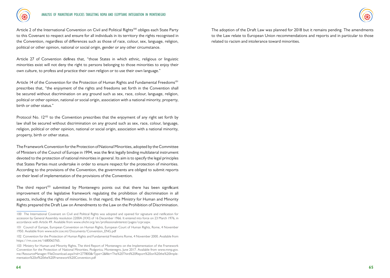

Article 2 of the International Convention on Civil and Political Rights<sup>100</sup> obliges each State Party to this Covenant to respect and ensure for all individuals in its territory the rights recognised in the Convention, regardless of differences such as those of race, colour, sex, language, religion, political or other opinion, national or social origin, gender or any other circumstance.

Article 27 of Convention defines that, "those States in which ethnic, religious or linguistic minorities exist will not deny the right to persons belonging to those minorities to enjoy their own culture, to profess and practice their own religion or to use their own language."

Article 14 of the Convention for the Protection of Human Rights and Fundamental Freedoms<sup>101</sup> prescribes that, "the enjoyment of the rights and freedoms set forth in the Convention shall be secured without discrimination on any ground such as sex, race, colour, language, religion, political or other opinion, national or social origin, association with a national minority, property, birth or other status."

Protocol No. 12<sup>102</sup> to the Convention prescribes that the enjoyment of any right set forth by law shall be secured without discrimination on any ground such as sex, race, colour, language, religion, political or other opinion, national or social origin, association with a national minority, property, birth or other status.

The Framework Convention for the Protection of National Minorities, adopted by the Committee of Ministers of the Council of Europe in 1994, was the first legally binding multilateral instrument devoted to the protection of national minorities in general. Its aim is to specify the legal principles that States Parties must undertake in order to ensure respect for the protection of minorities. According to the provisions of the Convention, the governments are obliged to submit reports on their level of implementation of the provisions of the Convention.

The third report<sup>103</sup> submitted by Montenegro points out that there has been significant improvement of the legislative framework regulating the prohibition of discrimination in all aspects, including the rights of minorities. In that regard, the Ministry for Human and Minority Rights prepared the Draft Law on Amendments to the Law on the Prohibition of Discrimination.

The adoption of the Draft Law was planned for 2018 but it remains pending. The amendments to the Law relate to European Union recommendations and reports and in particular to those related to racism and intolerance toward minorities.

<sup>100</sup> The International Covenant on Civil and Political Rights was adopted and opened for signature and ratification for accession by General Assembly resolution 2200A (XXI) of 16 December 1966. It entered into force on 23 March 1976, in accordance with Article 49. Available from www.ohchr.org/en/professionalinterest/pages/ccpr.aspx.

<sup>101</sup> Council of Europe, European Convention on Human Rights, European Court of Human Rights, Rome, 4 November 1950. Available from www.echr.coe.int/Documents/Convention\_ENG.pdf

<sup>102</sup> Convention for the Protection of Human Rights and Fundamental Freedoms Rome, 4 November 2000. Available from https://rm.coe.int/1680063765.

<sup>103</sup> Ministry for Human and Minority Rights, The third Report of Montenegro on the Implementation of the Framework Convention for the Protection of National Minorities, Podgorica, Montenegro, June 2017. Available from www.mmp.gov. me/ResourceManager/FileDownload.aspx?rid=277800&rType=2&file=The%20Third%20Report%20on%20the%20Implementation%20of%20the%20Framework%20Convention.pdf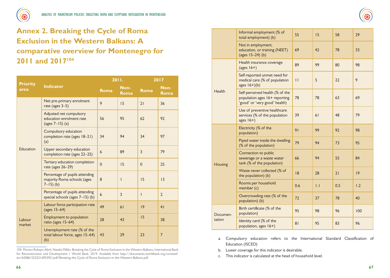

## **Annex 2. Breaking the Cycle of Roma Exclusion in the Western Balkans: A comparative overview for Montenegro for 2011 and 2017104**

| <b>Priority</b><br>area | <b>Indicator</b>                                                                | 2011.          |                     | 2017           |                |
|-------------------------|---------------------------------------------------------------------------------|----------------|---------------------|----------------|----------------|
|                         |                                                                                 | Roma           | Non-<br><b>Roma</b> | <b>Roma</b>    | Non-<br>Roma   |
| Education               | Net pre-primary enrolment<br>rate (ages 3-5)                                    | 9              | 15                  | 21             | 36             |
|                         | Adjusted net compulsory<br>education enrolment rate<br>(ages $7 - 15$ ) (a)     | 56             | 95                  | 62             | 92             |
|                         | Compulsory education<br>completion rate (ages 18-21)<br>(a)                     | 34             | 94                  | 34             | 97             |
|                         | Upper secondary education<br>completion rate (ages 22-25)                       | 6              | 89                  | $\overline{3}$ | 79             |
|                         | Tertiary education completion<br>rate (ages 26-29)                              | $\overline{0}$ | 15                  | $\mathbf 0$    | 25             |
|                         | Percentage of pupils attending<br>majority Roma schools (ages<br>$7 - 15$ ) (b) | 8              | $\mathsf{l}$        | 15             | 3              |
|                         | Percentage of pupils attending<br>special schools (ages $7-15$ ) (b)            | 6              | 3                   | I              | $\overline{2}$ |
| Labour<br>market        | Labour force participation rate<br>(ages $15-64$ )                              | 49             | 6 <sub>1</sub>      | 9              | 4 <sub>1</sub> |
|                         | Employment to population<br>ratio (ages 15-64)                                  | 28             | 43                  | 15             | 38             |
|                         | Unemployment rate (% of the<br>total labour force, ages 15-64)<br>(b)           | 43             | 29                  | 23             | $\overline{7}$ |

104 Monica Robayo-Abril, Natalia Millán, Breaking the Cycle of Roma Exclusion in the Western Balkans, International Bank for Reconstruction and Development / World Bank, 2019. Available from http://documents.worldbank.org/curated/ en/642861552321695392/pdf/Breaking-the-Cycle-of-Roma-Exclusion-in-the-Western-Balkans.pdf.

|                    | Informal employment (% of<br>total employment) (b)                                                | 55                      | 15               | 58  | 29  |
|--------------------|---------------------------------------------------------------------------------------------------|-------------------------|------------------|-----|-----|
|                    | Not in employment,<br>education, or training (NEET)<br>(ages 15-24) (b)                           | 69                      | 42               | 78  | 33  |
| Health             | Health insurance coverage<br>(ages $16+$ )                                                        | 89                      | 99               | 80  | 98  |
|                    | Self-reported unmet need for<br>medical care (% of population<br>ages $16+)(b)$                   | $\overline{\mathbf{1}}$ | 5                | 22  | 9   |
|                    | Self-perceived health (% of the<br>population ages 16+ reporting<br>'good' or 'very good' health) | 78                      | 78               | 63  | 69  |
|                    | Use of preventive healthcare<br>services (% of the population<br>ages $16+$ )                     | 39                      | 61               | 48  | 79  |
| Housing            | Electricity (% of the<br>population)                                                              | 91                      | 99               | 92  | 98  |
|                    | Piped water inside the dwelling<br>(% of the population)                                          | 79                      | 94               | 73  | 95  |
|                    | Connection to public<br>sewerage or a waste water<br>tank (% of the population)                   | 66                      | 94               | 55  | 84  |
|                    | Waste never collected (% of<br>the population) (b)                                                | 18                      | 28               | 21  | 9   |
|                    | Rooms per household<br>member (c)                                                                 | 0.6                     | $\overline{1.1}$ | 0.5 | 1.2 |
|                    | Overcrowding rate (% of the<br>population) (b)                                                    | 72                      | 37               | 78  | 40  |
| Documen-<br>tation | Birth certificate (% of the<br>population)                                                        | 95                      | 98               | 96  | 100 |
|                    | Identity card (% of the<br>population, ages 16+)                                                  | 8 <sub>1</sub>          | 95               | 83  | 96  |

- a. Compulsory education refers to the International Standard Classification of Education (ISCED)
- b. Lower coverage for this indicator is desirable.
- c. This indicator is calculated at the head of household level.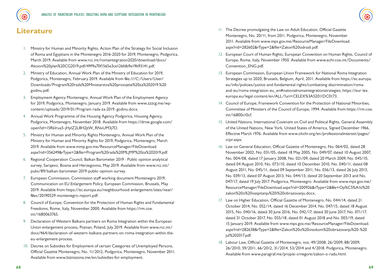



### **Literature**

- 1. Ministry for Human and Minority Rights, Action Plan of the Strategy for Social Inclusion of Roma and Egyptians in the Montenegro 2016-2020 for 2019, Montenegro, Podgorica, March 2019. Available from www.rcc.int/romaintegration2020/download/docs/ Akcioni%20plan%20CG2019.pdf/49f9a70f1565e3ce126fdb9e19b93141.pdf.
- 2. Ministry of Education, Annual Work Plan of the Ministry of Education for 2019, Podgorica, Montenegro, February 2019. Available from file:///C:/Users/User/ Downloads/Program%20rada%20Ministarstva%20prosvjete%20za%202019.%20 godinu.pdf.
- 3. Employment Agency Montenegro, Annual Work Plan of the Employment Agency for 2019, Podgorica, Montenegro, January 2019. Available from www.zzzcg.me/wpcontent/uploads/2019/01/Program-rada-za-2019.-godinu.docx.
- 4. Annual Work Programme of the Housing Agency Podgorica, Housing Agency, Podgorica, Montenegro, November 2018. Available from https://drive.google.com/ open?id=15RkIrua5-jHyIZ2L8H2jtW\_RNvUM3j7D.
- 5. Ministry for Human and Minority Rights Montenegro, Annual Work Plan of the Ministry for Human and Minority Rights for 2019, Podgorica, Montenegro, March 2019. Available from www.mmp.gov.me/ResourceManager/FileDownload. aspx?rid=356249&rType=2&file=Program%20rada%20MLJMP%20za%202019.pdf.
- 6. Regional Cooperation Council, Balkan Barometer 2019 Public opinion analytical survey, Sarajevo, Bosnia and Herzegovina, May 2019. Available from www.rcc.int/ pubs/89/balkan-barometer-2019-public-opinion-survey.
- 7. European Commission, Commission staff working document Montenegro 2019, Communication on EU Enlargement Policy, European Commission, Brussels, May 2019. Available from https://ec.europa.eu/neighbourhood-enlargement/sites/near/ files/20190529-montenegro-report.pdf.
- 8. Council of Europe, Convention for the Protection of Human Rights and Fundamental Freedoms, Rome, Italy, November 2000. Available from https://rm.coe. int/1680063765.
- 9. Declaration of Western Balkans partners on Roma Integration within the European Union enlargement process, Poznan, Poland, July 2019. Available from www.rcc.int/ docs/464/declaration-of-western-balkans-partners-on-roma-integration-within-theeu-enlargement-process.
- 10. Decree on Subsidies for Employment of certain Categories of Unemployed Persons, Official Gazette Montenegro, No. 11/2012, Podgorica, Montenegro, November 2011. Available from www.bizniszona.me/en/subsidies-for-employment.
- 11. The Decree promulgating the Law on Adult Education, Official Gazette Montenegro, No. 20/11, from 2011. Podgorica, Montenegro, November 2011. Available from www.mps.gov.me/ResourceManager/FileDownload. aspx?rid=282602&rType=2&file=Zakon%20odrasli.pdf.
- 12. European Court of Human Rights, European Convention on Human Rights, Council of Europe, Rome, Italy, November 1950. Available from www.echr.coe.int/Documents/ Convention\_ENG.pdf.
- 13. European Commission, European Union Framework for National Roma Integration Strategies up to 2020, Brussels, Belgium, April, 2011. Available from https://ec.europa. eu/info/policies/justice-and-fundamental-rights/combatting-discrimination/romaand-eu/roma-integration-eu\_en#nationalromaintegrationstrategies; https://eur-lex. europa.eu/legal-content/en/ALL/?uri=CELEX%3A52011DC0173.
- 14. Council of Europe, Framework Convention for the Protection of National Minorities, Committee of Ministers of the Council of Europe, 1994. Available from https://rm.coe. int/16800c10cf.
- 15. United Nations, International Covenant on Civil and Political Rights, General Assembly of the United Nations, New York, United States of America, Signed December 1966, Effective March 1976. Available from www.ohchr.org/en/professionalinterest/pages/ ccpr.aspx.
- 16. Law on General Education, Official Gazette of Montenegro, No. 064/02, dated 28 November 2002, No. 031/05, dated 18 May 2005, No. 049/07, dated 10 August 2007, No. 004/08, dated 17 January 2008, No. 021/09, dated 20 March 2009, No. 045/10, dated 04 August 2010, No. 073/10, dated 10 December 2010, No. 040/11, dated 08 August 2011, No. 045/11, dated 09 September 2011, No. 036/13, dated 26 July 2013, No. 039/13, dated 07 August 2013, No. 044/13, dated 20 September 2013 and No. 047/17, dated 19 July 2017. Podgorica, Montenegro. Available from www.mps.gov.me/ ResourceManager/FileDownload.aspx?rid=200926&rType=2&file=Op%C5%A1ti%20 zakon%20o%20vaspitanju%20i%20obrazovanju.docx.
- 17. Law on Higher Education, Official Gazette of Montenegro, No. 044/14, dated 21 October 2014, No. 052/14, dated 16 December 2014, No. 047/15, dated 18 August 2015, No. 040/16, dated 30 June 2016, No. 042/17, dated 30 June 2017, No. 071/17, dated 31 October 2017, No. 055/18, dated 01 August 2018 and No. 003/19, dated 15 January 2019. Available from www.mps.gov.me/ResourceManager/FileDownload. aspx?rid=282638&rType=2&file=Zakon%20o%20visokom%20obrazovanju%20-%20 jul%202017.pdf.
- 18. Labour Law, Official Gazette of Montenegro, nos. 49/2008, 26/2009, 88/2009, 26/2010, 59/2011, 66/2012, 31/2014, 53/2014 and 4/2018. Podgorica, Montenegro. Available from www.paragraf.me/propisi-crnegore/zakon-o-radu.html.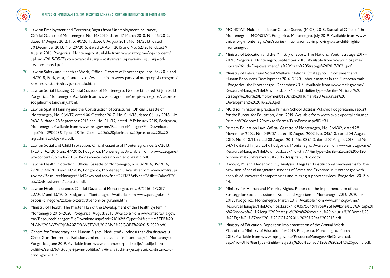- 19. Law on Employment and Exercising Rights from Unemployment Insurance, Official Gazette of Montenegro, No. 14/2010, dated 17 March 2010, No. 45/2012, dated 17 August 2012, No. 40/2011, dated 8 August 2011, No. 61/2013, dated 30 December 2013, No. 20/2015, dated 24 April 2015 and No. 52/2016, dated 9 August 2016. Podgorica, Montenegro. Available from www.zzzcg.me/wp-content/ uploads/2015/05/Zakon-o-zaposljavanju-i-ostvarivanju-prava-iz-osiguranja-odnezaposlenosti.pdf.
- 20. Law on Safety and Health at Work, Official Gazette of Montenegro, nos. 34/2014 and 44/2018, Podgorica, Montenegro. Available from www.paragraf.me/propisi-crnegore/ zakon-o-zastiti-i-zdravlju-na-radu.html.
- 21. Law on Social Housing, Official Gazette of Montenegro, No. 35/13, dated 23 July 2013, Podgorica, Montenegro. Available from www.paragraf.me/propisi-crnegore/zakon-osocijalnom-stanovanju.html.
- 22. Law on Spatial Planning and the Construction of Structures, Official Gazette of Montenegro, No. 064/17, dated 06 October 2017, No. 044/18, dated 06 July 2018, No. 063/18, dated 28 September 2018 and No. 011/19, dated 19 February 2019, Podgorica, Montenegro. Available from www.mrt.gov.me/ResourceManager/FileDownload. aspx?rid=290023&rType=2&file=Zakon%20o%20planiranju%20prostora%20i%20 izgradnji%20objekata.pdf.
- 23. Law on Social and Child Protection, Official Gazette of Montenegro, nos. 27/2013, 1/2015, 42/2015 and 47/2015, Podgorica, Montenegro. Available from www.zzzcg.me/ wp-content/uploads/2015/05/Zakon-o-socijalnoj-i-djecjoj-zastiti.pdf.
- 24. Law on Health Protection, Official Gazette of Montenegro, nos. 3/2016, 39/2016, 2/2017, 44/2018 and 24/2019, Podgorica, Montenegro. Available from www.mzdravlja. gov.me/ResourceManager/FileDownload.aspx?rid=227183&rType=2&file=Zakon%20 o%20zdravstvenoj%20zastiti.pdf.
- 25. Law on Health Insurance, Official Gazette of Montenegro, nos. 6/2016, 2/2017, 22/2017 and 13/2018, Podgorica, Montenegro. Available from www.paragraf.me/ propisi-crnegore/zakon-o-zdravstvenom-osiguranju.html.
- 26. Ministry of Health, The Master Plan of the Development of the Health System in Montenegro 2015–2020, Podgorica, August 2015. Available from www.mzdravlja.gov. me/ResourceManager/FileDownload.aspx?rid=216169&rType=2&file=MASTER%20 PLAN%20RAZVOJA%20ZDRAVSTVA%20CRNE%20GORE%202015-2020.pdf.
- 27. Centre for Democracy and Human Rights, Međuetnički odnosi i etnička distanca u Crnoj Gori (Interethnic Relations and ethnic distance in Montenegro), Montenegro, Podgorica, June 2019. Available from www.cedem.me/publikacije/studije-i-javnepolitike/send/69-studije-i-javne-politike/1946-analiticki-izvjestaj-etnicka-distanca-ucrnoj-gori-2019.
- 28. MONSTAT, Multiple Indicator Cluster Survey (MICS) 2018. Statistical Office of the Montenegro – MONSTAT, Podgorica, Montenegro, July 2019. Available from www. unicef.org/montenegro/en/stories/mics-roadmap-improving-state-child-rightsmontenegro.
- 29. Ministry of Education and the Ministry of Sport, The National Youth Strategy 2017– 2021, Podgorica, Montenegro, September 2016. Available from www.un.org.me/ Library/Youth-Empowerment/1a%20Youth%20Strategy%202017-2021.pdf.
- 30. Ministry of Labour and Social Welfare, National Strategy for Employment and Human Resources Development 2016–2020, Labour market in the European path, , Podgorica, the Montenegro, December 2015. Available from www.mek.gov.me/ ResourceManager/FileDownload.aspx?rid=331868&rType=2&file=National%20 Strategy%20for%20Employment%20and%20Human%20Resources%20 Development%202016-2020.pdf.
- 31. NOdiscrimination in practice Primary School Božidar Vuković Podgoričanin, report for the Bureau for Education, April 2019. Available from www.skolskiportal.edu.me/ Primjeri%20dobre%20prakse/Forms/DispForm.aspx?ID=34.
- 32. Primary Education Law, Official Gazette of Montenegro, No. 064/02, dated 28 November 2002, No. 049/07, dated 10 August 2007, No. 045/10, dated 04 August 2010, No. 040/11, dated 08 August 2011, No. 039/13, dated 07 August 2013 and No. 047/17, dated 19 July 2017, Podgorica, Montenegro. Available from www.mps.gov.me/ ResourceManager/FileDownload.aspx?rid=317777&rType=2&file=Zakon%20o%20 osnovnom%20obrazovanju%20i%20vaspitanju.doc.docx.
- 33. Radović, M. and Međedović, K., Analysis of legal and institutional mechanisms for the provision of social integration services of Roma and Egyptians in Montenegro with analysis of uncovered competencies and missing support services, Podgorica, 2019, p. 44.
- 34. Ministry for Human and Minority Rights, Report on the Implementation of the Strategy for Social Inclusion of Roma and Egyptians in Montenegro 2016–2020 for 2018, Podgorica, Montenegro, March 2019. Available from www.mmp.gov.me/ ResourceManager/FileDownload.aspx?rid=357564&rType=2&file=Izvje%C5%A1taj%20 o%20sprovo%C4%91enju%20Strategije%20za%20socijalnu%20inkluziju%20Roma%20 i%20Egip%C4%87ana%20u%20CG%202016-2020%20za%202018.pdf.
- 35. Ministry of Education, Report on Implementation of the Annual Work Plan of the Ministry of Education for 2017, Podgorica, Montenegro, March 2018. Available from www.mps.gov.me/ResourceManager/FileDownload. aspx?rid=311678&rType=2&file=Izvjestaj%20o%20radu%20za%202017.%20godinu.pdf.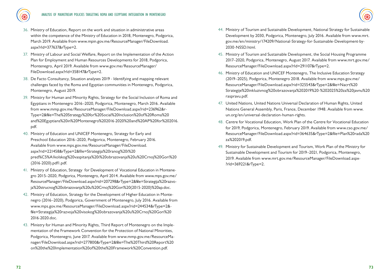

- 36. Ministry of Education, Report on the work and situation in administrative areas within the competence of the Ministry of Education in 2018, Montenegro, Podgorica, March 2019. Available from www.mpin.gov.me/ResourceManager/FileDownload. aspx?rId=377637&rType=2.
- 37. Ministry of Labour and Social Welfare, Report on the Implementation of the Action Plan for Employment and Human Resources Developments for 2018, Podgorica, Montenegro, April 2019. Available from www.gov.me/ResourceManager/ FileDownload.aspx?rId=358147&rType=2.
- 38. De Facto Consultancy, Situation analyses 2019 Identifying and mapping relevant challenges faced by the Roma and Egyptian communities in Montenegro, Podgorica, Montenegro, August 2019.
- 39. Ministry for Human and Minority Rights, Strategy for the Social Inclusion of Roma and Egyptians in Montenegro 2016–2020, Podgorica, Montenegro, March 2016. Available from www.mmp.gov.me/ResourceManager/FileDownload.aspx?rid=236962&r-Type=2&file=The%20Strategy%20for%20Social%20Inclusion%20of%20Roma%20 and%20Egyptians%20in%20Montenegro%202016-2020%20and%20AP%20for%202016. pdf.
- 40. Ministry of Education and UNICEF Montenegro, Strategy for Early and Preschool Education 2016–2020, Podgorica, Montenegro, February 2016. Available from www.mps.gov.me/ResourceManager/FileDownload. aspx?rid=221458&rType=2&file=Strategija%20ranog%20i%20 pred%C5%A1kolskog%20vaspitanja%20i%20obrazovanja%20u%20Crnoj%20Gori%20 (2016-2020).pdf1.pdf.
- 41. Ministry of Education, Strategy for Development of Vocational Education in Montenegro 2015–2020, Podgorica, Montenegro, April 2014. Available from www.mps.gov.me/ ResourceManager/FileDownload.aspx?rid=207298&rType=2&file=Strategija%20razvoja%20strucnog%20obrazovanja%20u%20Crnoj%20Gori%20(2015-2020)%20ap.doc.
- 42. Ministry of Education, Strategy for the Development of Higher Education in Montenegro (2016–2020), Podgorica, Government of Montenegro, July 2016. Available from www.mps.gov.me/ResourceManager/FileDownload.aspx?rid=244534&rType=2& file=Strategija%20razvoja%20visokog%20obrazovanja%20u%20Crnoj%20Gori%20 2016-2020.doc.
- 43. Ministry for Human and Minority Rights, Third Report of Montenegro on the Implementation of the Framework Convention for the Protection of National Minorities, Podgorica, Montenegro, June 2017. Available from www.mmp.gov.me/ResourceManager/FileDownload.aspx?rid=277800&rType=2&file=The%20Third%20Report%20 on%20the%20Implementation%20of%20the%20Framework%20Convention.pdf.
- 44. Ministry of Tourism and Sustainable Development, National Strategy for Sustainable Development by 2030, Podgorica, Montenegro, July 2016. Available from www.mrt. gov.me/en/ministry/174209/National-Strategy-for-Sustainable-Development-by-2030-NSSD.html.
- 45. Ministry of Tourism and Sustainable Development, the Social Housing Programme 2017–2020, Podgorica, Montenegro, August 2017. Available from www.mrt.gov.me/ ResourceManager/FileDownload.aspx?rId=291107&rType=2.
- 46. Ministry of Education and UNICEF Montenegro, The Inclusive Education Strategy (2019–2025), Podgorica, Montenegro 2018. Available from www.mps.gov.me/ ResourceManager/FileDownload.aspx?rid=325543&rType=2&file=Nacrt%20 Strategije%20inkluzivnog%20obrazovanja%202019%20-%202025%20za%20javnu%20 raspravu.pdf.
- 47. United Nations, United Nations Universal Declaration of Human Rights, United Nations General Assembly, Paris, France, December 1948. Available from www. un.org/en/universal-declaration-human-rights.
- 48. Centre for Vocational Education, Work Plan of the Centre for Vocational Education for 2019, Podgorica, Montenegro, February 2019. Available from www.cso.gov.me/ ResourceManager/FileDownload.aspx?rid=364635&rType=2&file=Plan%20rada%20 za%202019.pdf.
- 49. Ministry for Sustainable Development and Tourism, Work Plan of the Ministry for Sustainable Development and Tourism for 2019–2021, Podgorica, Montenegro, 2019. Available from www.mrt.gov.me/ResourceManager/FileDownload.aspx- ?rId=369221&rType=2.